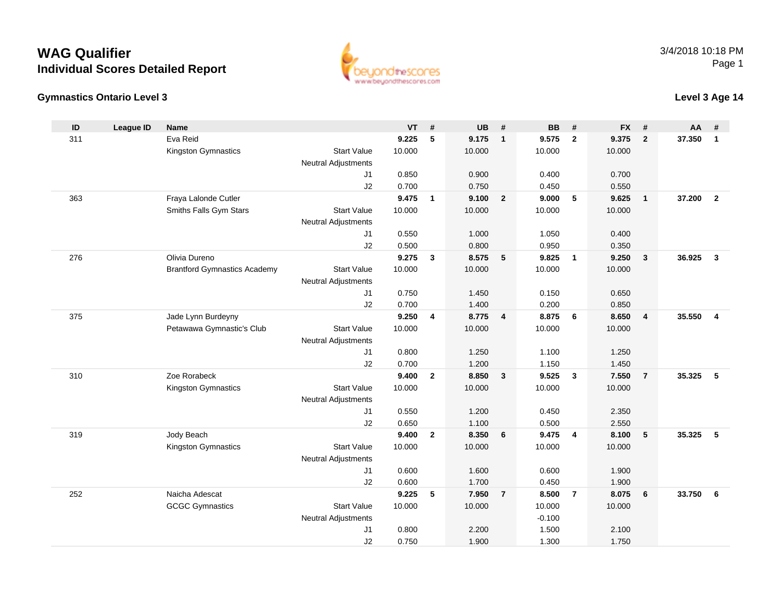#### **Gymnastics Ontario Level 3**

www.beyondthescores.com

### **Level 3 Age 14**

| ID  | <b>League ID</b> | <b>Name</b>                                     |                            | <b>VT</b>      | #              | <b>UB</b>      | #              | <b>BB</b>       | #                       | <b>FX</b>      | #              | AA     | #              |
|-----|------------------|-------------------------------------------------|----------------------------|----------------|----------------|----------------|----------------|-----------------|-------------------------|----------------|----------------|--------|----------------|
| 311 |                  | Eva Reid                                        |                            | 9.225          | 5              | 9.175          | $\overline{1}$ | 9.575           | $\overline{2}$          | 9.375          | $\overline{2}$ | 37.350 | $\mathbf{1}$   |
|     |                  | Kingston Gymnastics                             | <b>Start Value</b>         | 10.000         |                | 10.000         |                | 10.000          |                         | 10.000         |                |        |                |
|     |                  |                                                 | Neutral Adjustments        |                |                |                |                |                 |                         |                |                |        |                |
|     |                  |                                                 | J1                         | 0.850          |                | 0.900          |                | 0.400           |                         | 0.700          |                |        |                |
|     |                  |                                                 | J2                         | 0.700          |                | 0.750          |                | 0.450           |                         | 0.550          |                |        |                |
| 363 |                  | Fraya Lalonde Cutler                            |                            | 9.475          | $\overline{1}$ | 9.100          | $\overline{2}$ | 9.000           | -5                      | 9.625          | $\overline{1}$ | 37.200 | $\overline{2}$ |
|     |                  | Smiths Falls Gym Stars                          | <b>Start Value</b>         | 10.000         |                | 10.000         |                | 10.000          |                         | 10.000         |                |        |                |
|     |                  |                                                 | Neutral Adjustments        |                |                |                |                |                 |                         |                |                |        |                |
|     |                  |                                                 | J1                         | 0.550          |                | 1.000          |                | 1.050           |                         | 0.400          |                |        |                |
|     |                  |                                                 | J2                         | 0.500          |                | 0.800          |                | 0.950           |                         | 0.350          |                |        |                |
| 276 |                  | Olivia Dureno                                   |                            | 9.275          | 3              | 8.575          | 5              | 9.825           | $\overline{1}$          | 9.250          | $\mathbf{3}$   | 36.925 | $\mathbf{3}$   |
|     |                  | <b>Brantford Gymnastics Academy</b>             | <b>Start Value</b>         | 10.000         |                | 10.000         |                | 10.000          |                         | 10.000         |                |        |                |
|     |                  |                                                 | <b>Neutral Adjustments</b> |                |                |                |                |                 |                         |                |                |        |                |
|     |                  |                                                 | J1                         | 0.750          |                | 1.450          |                | 0.150           |                         | 0.650          |                |        |                |
|     |                  |                                                 | J2                         | 0.700<br>9.250 |                | 1.400<br>8.775 | $\overline{4}$ | 0.200           |                         | 0.850<br>8.650 |                | 35.550 | $\overline{4}$ |
| 375 |                  | Jade Lynn Burdeyny<br>Petawawa Gymnastic's Club | <b>Start Value</b>         | 10.000         | 4              | 10.000         |                | 8.875<br>10.000 | 6                       | 10.000         | $\overline{4}$ |        |                |
|     |                  |                                                 | <b>Neutral Adjustments</b> |                |                |                |                |                 |                         |                |                |        |                |
|     |                  |                                                 | J1                         | 0.800          |                | 1.250          |                | 1.100           |                         | 1.250          |                |        |                |
|     |                  |                                                 | J2                         | 0.700          |                | 1.200          |                | 1.150           |                         | 1.450          |                |        |                |
| 310 |                  | Zoe Rorabeck                                    |                            | 9.400          | $\overline{2}$ | 8.850          | $\overline{3}$ | 9.525           | $\overline{\mathbf{3}}$ | 7.550          | $\overline{7}$ | 35.325 | 5              |
|     |                  | Kingston Gymnastics                             | <b>Start Value</b>         | 10.000         |                | 10.000         |                | 10.000          |                         | 10.000         |                |        |                |
|     |                  |                                                 | <b>Neutral Adjustments</b> |                |                |                |                |                 |                         |                |                |        |                |
|     |                  |                                                 | J1                         | 0.550          |                | 1.200          |                | 0.450           |                         | 2.350          |                |        |                |
|     |                  |                                                 | J2                         | 0.650          |                | 1.100          |                | 0.500           |                         | 2.550          |                |        |                |
| 319 |                  | Jody Beach                                      |                            | 9.400          | $\mathbf{2}$   | 8.350          | 6              | 9.475           | $\overline{4}$          | 8.100          | 5              | 35.325 | 5              |
|     |                  | Kingston Gymnastics                             | <b>Start Value</b>         | 10.000         |                | 10.000         |                | 10.000          |                         | 10.000         |                |        |                |
|     |                  |                                                 | <b>Neutral Adjustments</b> |                |                |                |                |                 |                         |                |                |        |                |
|     |                  |                                                 | J1                         | 0.600          |                | 1.600          |                | 0.600           |                         | 1.900          |                |        |                |
|     |                  |                                                 | J2                         | 0.600          |                | 1.700          |                | 0.450           |                         | 1.900          |                |        |                |
| 252 |                  | Naicha Adescat                                  |                            | 9.225          | 5              | 7.950          | $\overline{7}$ | 8.500           | $\overline{7}$          | 8.075          | 6              | 33.750 | 6              |
|     |                  | <b>GCGC Gymnastics</b>                          | <b>Start Value</b>         | 10.000         |                | 10.000         |                | 10.000          |                         | 10.000         |                |        |                |
|     |                  |                                                 | <b>Neutral Adjustments</b> |                |                |                |                | $-0.100$        |                         |                |                |        |                |
|     |                  |                                                 | J1                         | 0.800          |                | 2.200          |                | 1.500           |                         | 2.100          |                |        |                |
|     |                  |                                                 | J2                         | 0.750          |                | 1.900          |                | 1.300           |                         | 1.750          |                |        |                |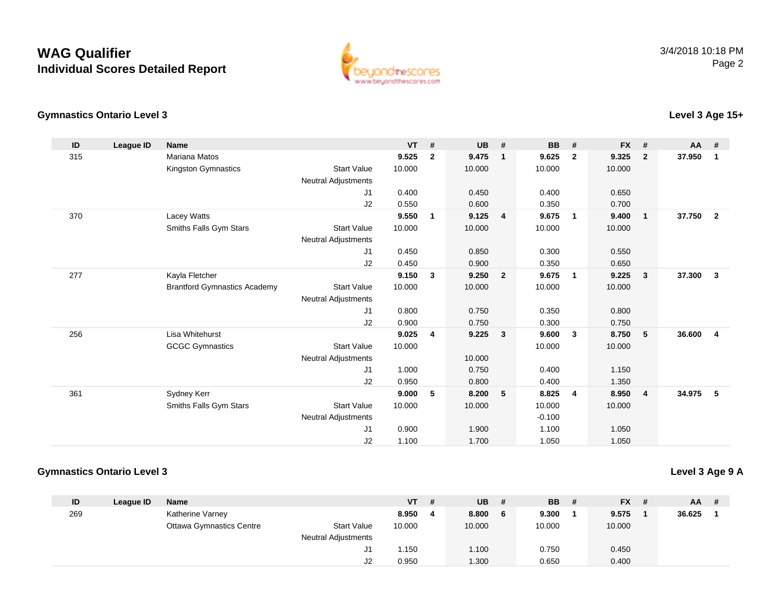

#### **Gymnastics Ontario Level 3**

| ID  | <b>League ID</b> | <b>Name</b>                         |                            | <b>VT</b> | #                       | <b>UB</b> | #                       | <b>BB</b> | #            | <b>FX</b> | #              | AA     | #                        |
|-----|------------------|-------------------------------------|----------------------------|-----------|-------------------------|-----------|-------------------------|-----------|--------------|-----------|----------------|--------|--------------------------|
| 315 |                  | Mariana Matos                       |                            | 9.525     | $\overline{2}$          | 9.475     | $\mathbf{1}$            | 9.625     | $\mathbf{2}$ | 9.325     | $\overline{2}$ | 37.950 | $\overline{\mathbf{1}}$  |
|     |                  | Kingston Gymnastics                 | <b>Start Value</b>         | 10.000    |                         | 10.000    |                         | 10.000    |              | 10.000    |                |        |                          |
|     |                  |                                     | <b>Neutral Adjustments</b> |           |                         |           |                         |           |              |           |                |        |                          |
|     |                  |                                     | J <sub>1</sub>             | 0.400     |                         | 0.450     |                         | 0.400     |              | 0.650     |                |        |                          |
|     |                  |                                     | J2                         | 0.550     |                         | 0.600     |                         | 0.350     |              | 0.700     |                |        |                          |
| 370 |                  | Lacey Watts                         |                            | 9.550     | $\overline{1}$          | 9.125     | $\overline{4}$          | 9.675     | $\mathbf{1}$ | 9.400     | $\mathbf{1}$   | 37.750 | $\overline{\mathbf{2}}$  |
|     |                  | Smiths Falls Gym Stars              | <b>Start Value</b>         | 10.000    |                         | 10.000    |                         | 10.000    |              | 10.000    |                |        |                          |
|     |                  |                                     | <b>Neutral Adjustments</b> |           |                         |           |                         |           |              |           |                |        |                          |
|     |                  |                                     | J <sub>1</sub>             | 0.450     |                         | 0.850     |                         | 0.300     |              | 0.550     |                |        |                          |
|     |                  |                                     | J2                         | 0.450     |                         | 0.900     |                         | 0.350     |              | 0.650     |                |        |                          |
| 277 |                  | Kayla Fletcher                      |                            | 9.150     | $\overline{\mathbf{3}}$ | 9.250     | $\overline{\mathbf{2}}$ | 9.675     | 1            | 9.225     | 3              | 37.300 | $\mathbf{3}$             |
|     |                  | <b>Brantford Gymnastics Academy</b> | <b>Start Value</b>         | 10.000    |                         | 10.000    |                         | 10.000    |              | 10.000    |                |        |                          |
|     |                  |                                     | <b>Neutral Adjustments</b> |           |                         |           |                         |           |              |           |                |        |                          |
|     |                  |                                     | J <sub>1</sub>             | 0.800     |                         | 0.750     |                         | 0.350     |              | 0.800     |                |        |                          |
|     |                  |                                     | J2                         | 0.900     |                         | 0.750     |                         | 0.300     |              | 0.750     |                |        |                          |
| 256 |                  | Lisa Whitehurst                     |                            | 9.025     | $\overline{4}$          | 9.225     | 3                       | 9.600     | 3            | 8.750     | 5              | 36.600 | $\overline{4}$           |
|     |                  | <b>GCGC Gymnastics</b>              | <b>Start Value</b>         | 10.000    |                         |           |                         | 10.000    |              | 10.000    |                |        |                          |
|     |                  |                                     | <b>Neutral Adjustments</b> |           |                         | 10.000    |                         |           |              |           |                |        |                          |
|     |                  |                                     | J <sub>1</sub>             | 1.000     |                         | 0.750     |                         | 0.400     |              | 1.150     |                |        |                          |
|     |                  |                                     | J2                         | 0.950     |                         | 0.800     |                         | 0.400     |              | 1.350     |                |        |                          |
| 361 |                  | Sydney Kerr                         |                            | 9.000     | 5                       | 8.200     | 5                       | 8.825     | 4            | 8.950     | 4              | 34.975 | $\overline{\phantom{0}}$ |
|     |                  | Smiths Falls Gym Stars              | <b>Start Value</b>         | 10.000    |                         | 10.000    |                         | 10.000    |              | 10.000    |                |        |                          |
|     |                  |                                     | <b>Neutral Adjustments</b> |           |                         |           |                         | $-0.100$  |              |           |                |        |                          |
|     |                  |                                     | J <sub>1</sub>             | 0.900     |                         | 1.900     |                         | 1.100     |              | 1.050     |                |        |                          |
|     |                  |                                     | J2                         | 1.100     |                         | 1.700     |                         | 1.050     |              | 1.050     |                |        |                          |

#### **Gymnastics Ontario Level 3**

**Level 3 Age 9 A**

| ID  | League ID | <b>Name</b>                     |                            | VT     | # | UB     | # | <b>BB</b> | <b>FX</b> | $AA$ # |  |
|-----|-----------|---------------------------------|----------------------------|--------|---|--------|---|-----------|-----------|--------|--|
| 269 |           | Katherine Varney                |                            | 8.950  | 4 | 8.800  | 6 | 9.300     | 9.575     | 36.625 |  |
|     |           | <b>Ottawa Gymnastics Centre</b> | <b>Start Value</b>         | 10.000 |   | 10.000 |   | 10.000    | 10.000    |        |  |
|     |           |                                 | <b>Neutral Adjustments</b> |        |   |        |   |           |           |        |  |
|     |           |                                 | J1                         | 1.150  |   | 1.100  |   | 0.750     | 0.450     |        |  |
|     |           |                                 | J2                         | 0.950  |   | 1.300  |   | 0.650     | 0.400     |        |  |

### **Level 3 Age 15+**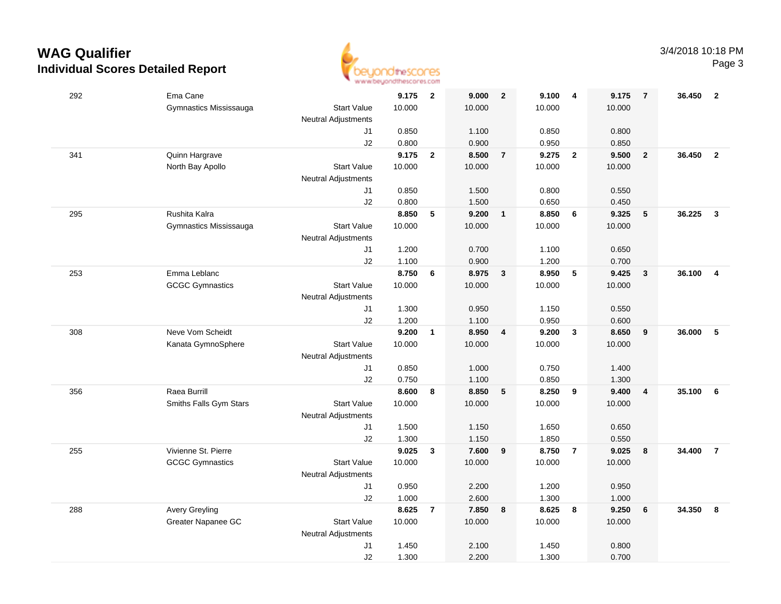

|     |                        | <b>THE THE THE NEW YORK PICE FIGHT</b> |        |                         |        |                         |        |                         |        |                         |        |                         |
|-----|------------------------|----------------------------------------|--------|-------------------------|--------|-------------------------|--------|-------------------------|--------|-------------------------|--------|-------------------------|
| 292 | Ema Cane               |                                        | 9.175  | $\overline{\mathbf{2}}$ | 9.000  | $\overline{\mathbf{2}}$ | 9.100  | $\overline{4}$          | 9.175  | $\overline{7}$          | 36.450 | $\overline{\mathbf{2}}$ |
|     | Gymnastics Mississauga | <b>Start Value</b>                     | 10.000 |                         | 10.000 |                         | 10.000 |                         | 10.000 |                         |        |                         |
|     |                        | <b>Neutral Adjustments</b>             |        |                         |        |                         |        |                         |        |                         |        |                         |
|     |                        | J1                                     | 0.850  |                         | 1.100  |                         | 0.850  |                         | 0.800  |                         |        |                         |
|     |                        | J2                                     | 0.800  |                         | 0.900  |                         | 0.950  |                         | 0.850  |                         |        |                         |
| 341 | Quinn Hargrave         |                                        | 9.175  | $\overline{\mathbf{2}}$ | 8.500  | $\overline{7}$          | 9.275  | $\overline{\mathbf{2}}$ | 9.500  | $\overline{2}$          | 36.450 | $\overline{2}$          |
|     | North Bay Apollo       | <b>Start Value</b>                     | 10.000 |                         | 10.000 |                         | 10.000 |                         | 10.000 |                         |        |                         |
|     |                        | <b>Neutral Adjustments</b>             |        |                         |        |                         |        |                         |        |                         |        |                         |
|     |                        | J1                                     | 0.850  |                         | 1.500  |                         | 0.800  |                         | 0.550  |                         |        |                         |
|     |                        | J2                                     | 0.800  |                         | 1.500  |                         | 0.650  |                         | 0.450  |                         |        |                         |
| 295 | Rushita Kalra          |                                        | 8.850  | 5                       | 9.200  | $\overline{\mathbf{1}}$ | 8.850  | 6                       | 9.325  | $\sqrt{5}$              | 36.225 | $\mathbf{3}$            |
|     | Gymnastics Mississauga | <b>Start Value</b>                     | 10.000 |                         | 10.000 |                         | 10.000 |                         | 10.000 |                         |        |                         |
|     |                        | Neutral Adjustments                    |        |                         |        |                         |        |                         |        |                         |        |                         |
|     |                        | J1                                     | 1.200  |                         | 0.700  |                         | 1.100  |                         | 0.650  |                         |        |                         |
|     |                        | J2                                     | 1.100  |                         | 0.900  |                         | 1.200  |                         | 0.700  |                         |        |                         |
| 253 | Emma Leblanc           |                                        | 8.750  | 6                       | 8.975  | $\overline{\mathbf{3}}$ | 8.950  | 5                       | 9.425  | $\overline{\mathbf{3}}$ | 36.100 | $\overline{4}$          |
|     | <b>GCGC Gymnastics</b> | <b>Start Value</b>                     | 10.000 |                         | 10.000 |                         | 10.000 |                         | 10.000 |                         |        |                         |
|     |                        | <b>Neutral Adjustments</b>             |        |                         |        |                         |        |                         |        |                         |        |                         |
|     |                        | J1                                     | 1.300  |                         | 0.950  |                         | 1.150  |                         | 0.550  |                         |        |                         |
|     |                        | J2                                     | 1.200  |                         | 1.100  |                         | 0.950  |                         | 0.600  |                         |        |                         |
| 308 | Neve Vom Scheidt       |                                        | 9.200  | $\mathbf{1}$            | 8.950  | $\overline{\mathbf{4}}$ | 9.200  | $\mathbf{3}$            | 8.650  | 9                       | 36.000 | 5                       |
|     | Kanata GymnoSphere     | <b>Start Value</b>                     | 10.000 |                         | 10.000 |                         | 10.000 |                         | 10.000 |                         |        |                         |
|     |                        | <b>Neutral Adjustments</b>             |        |                         |        |                         |        |                         |        |                         |        |                         |
|     |                        | J1                                     | 0.850  |                         | 1.000  |                         | 0.750  |                         | 1.400  |                         |        |                         |
|     |                        | J2                                     | 0.750  |                         | 1.100  |                         | 0.850  |                         | 1.300  |                         |        |                         |
| 356 | Raea Burrill           |                                        | 8.600  | 8                       | 8.850  | $5\phantom{1}$          | 8.250  | 9                       | 9.400  | $\overline{\mathbf{4}}$ | 35.100 | 6                       |
|     | Smiths Falls Gym Stars | <b>Start Value</b>                     | 10.000 |                         | 10.000 |                         | 10.000 |                         | 10.000 |                         |        |                         |
|     |                        | <b>Neutral Adjustments</b>             |        |                         |        |                         |        |                         |        |                         |        |                         |
|     |                        | J1                                     | 1.500  |                         | 1.150  |                         | 1.650  |                         | 0.650  |                         |        |                         |
|     |                        | J2                                     | 1.300  |                         | 1.150  |                         | 1.850  |                         | 0.550  |                         |        |                         |
| 255 | Vivienne St. Pierre    |                                        | 9.025  | $\mathbf{3}$            | 7.600  | 9                       | 8.750  | $\overline{7}$          | 9.025  | 8                       | 34.400 | $\overline{7}$          |
|     | <b>GCGC Gymnastics</b> | <b>Start Value</b>                     | 10.000 |                         | 10.000 |                         | 10.000 |                         | 10.000 |                         |        |                         |
|     |                        | <b>Neutral Adjustments</b>             |        |                         |        |                         |        |                         |        |                         |        |                         |
|     |                        | J1                                     | 0.950  |                         | 2.200  |                         | 1.200  |                         | 0.950  |                         |        |                         |
|     |                        | J2                                     | 1.000  |                         | 2.600  |                         | 1.300  |                         | 1.000  |                         |        |                         |
| 288 | <b>Avery Greyling</b>  |                                        | 8.625  | $\overline{7}$          | 7.850  | $\boldsymbol{8}$        | 8.625  | 8                       | 9.250  | 6                       | 34.350 | 8                       |
|     | Greater Napanee GC     | <b>Start Value</b>                     | 10.000 |                         | 10.000 |                         | 10.000 |                         | 10.000 |                         |        |                         |
|     |                        | Neutral Adjustments                    |        |                         |        |                         |        |                         |        |                         |        |                         |
|     |                        | J1                                     | 1.450  |                         | 2.100  |                         | 1.450  |                         | 0.800  |                         |        |                         |
|     |                        | J2                                     | 1.300  |                         | 2.200  |                         | 1.300  |                         | 0.700  |                         |        |                         |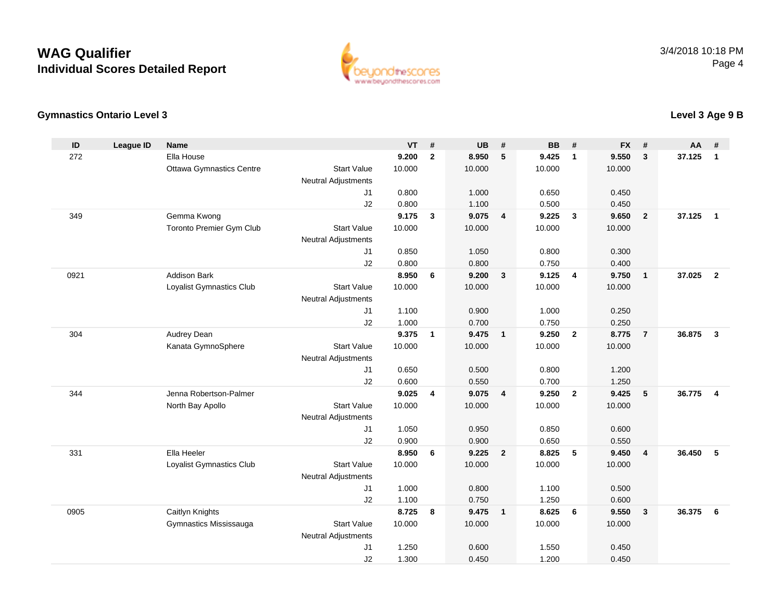

#### **Gymnastics Ontario Level 3**

| ID   | <b>League ID</b> | <b>Name</b>                     |                            | <b>VT</b>      | #              | <b>UB</b>      | #                        | <b>BB</b>      | #                       | <b>FX</b>      | #                       | AA     | #              |
|------|------------------|---------------------------------|----------------------------|----------------|----------------|----------------|--------------------------|----------------|-------------------------|----------------|-------------------------|--------|----------------|
| 272  |                  | Ella House                      |                            | 9.200          | $\mathbf{2}$   | 8.950          | 5                        | 9.425          | $\mathbf{1}$            | 9.550          | 3                       | 37.125 | $\mathbf{1}$   |
|      |                  | <b>Ottawa Gymnastics Centre</b> | <b>Start Value</b>         | 10.000         |                | 10.000         |                          | 10.000         |                         | 10.000         |                         |        |                |
|      |                  |                                 | <b>Neutral Adjustments</b> |                |                |                |                          |                |                         |                |                         |        |                |
|      |                  |                                 | J <sub>1</sub>             | 0.800          |                | 1.000          |                          | 0.650          |                         | 0.450          |                         |        |                |
|      |                  |                                 | J2                         | 0.800          |                | 1.100          |                          | 0.500          |                         | 0.450          |                         |        |                |
| 349  |                  | Gemma Kwong                     |                            | 9.175          | $\mathbf{3}$   | 9.075          | $\overline{4}$           | 9.225          | $\overline{\mathbf{3}}$ | 9.650          | $\overline{2}$          | 37.125 | $\overline{1}$ |
|      |                  | Toronto Premier Gym Club        | <b>Start Value</b>         | 10.000         |                | 10.000         |                          | 10.000         |                         | 10.000         |                         |        |                |
|      |                  |                                 | Neutral Adjustments        |                |                |                |                          |                |                         |                |                         |        |                |
|      |                  |                                 | J <sub>1</sub>             | 0.850          |                | 1.050          |                          | 0.800          |                         | 0.300          |                         |        |                |
|      |                  |                                 | J2                         | 0.800          |                | 0.800          |                          | 0.750          |                         | 0.400          |                         |        |                |
| 0921 |                  | <b>Addison Bark</b>             |                            | 8.950          | 6              | 9.200          | $\mathbf{3}$             | 9.125          | $\overline{4}$          | 9.750          | $\mathbf{1}$            | 37.025 | $\overline{2}$ |
|      |                  | Loyalist Gymnastics Club        | <b>Start Value</b>         | 10.000         |                | 10.000         |                          | 10.000         |                         | 10.000         |                         |        |                |
|      |                  |                                 | <b>Neutral Adjustments</b> |                |                |                |                          |                |                         |                |                         |        |                |
|      |                  |                                 | J <sub>1</sub><br>J2       | 1.100<br>1.000 |                | 0.900<br>0.700 |                          | 1.000<br>0.750 |                         | 0.250<br>0.250 |                         |        |                |
| 304  |                  | Audrey Dean                     |                            | 9.375          | $\overline{1}$ | 9.475          | $\overline{\phantom{0}}$ | 9.250          | $\overline{2}$          | 8.775          | $\overline{7}$          | 36.875 | $\mathbf{3}$   |
|      |                  | Kanata GymnoSphere              | <b>Start Value</b>         | 10.000         |                | 10.000         |                          | 10.000         |                         | 10.000         |                         |        |                |
|      |                  |                                 | <b>Neutral Adjustments</b> |                |                |                |                          |                |                         |                |                         |        |                |
|      |                  |                                 | J <sub>1</sub>             | 0.650          |                | 0.500          |                          | 0.800          |                         | 1.200          |                         |        |                |
|      |                  |                                 | J2                         | 0.600          |                | 0.550          |                          | 0.700          |                         | 1.250          |                         |        |                |
| 344  |                  | Jenna Robertson-Palmer          |                            | 9.025          | $\overline{4}$ | 9.075          | $\overline{\mathbf{4}}$  | 9.250          | $\overline{2}$          | 9.425          | 5                       | 36.775 | $\overline{4}$ |
|      |                  | North Bay Apollo                | <b>Start Value</b>         | 10.000         |                | 10.000         |                          | 10.000         |                         | 10.000         |                         |        |                |
|      |                  |                                 | <b>Neutral Adjustments</b> |                |                |                |                          |                |                         |                |                         |        |                |
|      |                  |                                 | J <sub>1</sub>             | 1.050          |                | 0.950          |                          | 0.850          |                         | 0.600          |                         |        |                |
|      |                  |                                 | J2                         | 0.900          |                | 0.900          |                          | 0.650          |                         | 0.550          |                         |        |                |
| 331  |                  | Ella Heeler                     |                            | 8.950          | 6              | 9.225          | $\overline{2}$           | 8.825          | 5                       | 9.450          | $\overline{\mathbf{4}}$ | 36.450 | 5              |
|      |                  | Loyalist Gymnastics Club        | <b>Start Value</b>         | 10.000         |                | 10.000         |                          | 10.000         |                         | 10.000         |                         |        |                |
|      |                  |                                 | <b>Neutral Adjustments</b> |                |                |                |                          |                |                         |                |                         |        |                |
|      |                  |                                 | J1                         | 1.000          |                | 0.800          |                          | 1.100          |                         | 0.500          |                         |        |                |
|      |                  |                                 | J2                         | 1.100          |                | 0.750          |                          | 1.250          |                         | 0.600          |                         |        |                |
| 0905 |                  | Caitlyn Knights                 |                            | 8.725          | 8              | 9.475          | $\blacksquare$           | 8.625          | 6                       | 9.550          | 3                       | 36.375 | - 6            |
|      |                  | Gymnastics Mississauga          | <b>Start Value</b>         | 10.000         |                | 10.000         |                          | 10.000         |                         | 10.000         |                         |        |                |
|      |                  |                                 | <b>Neutral Adjustments</b> |                |                |                |                          |                |                         |                |                         |        |                |
|      |                  |                                 | J <sub>1</sub>             | 1.250          |                | 0.600          |                          | 1.550          |                         | 0.450          |                         |        |                |
|      |                  |                                 | J2                         | 1.300          |                | 0.450          |                          | 1.200          |                         | 0.450          |                         |        |                |

### **Level 3 Age 9 B**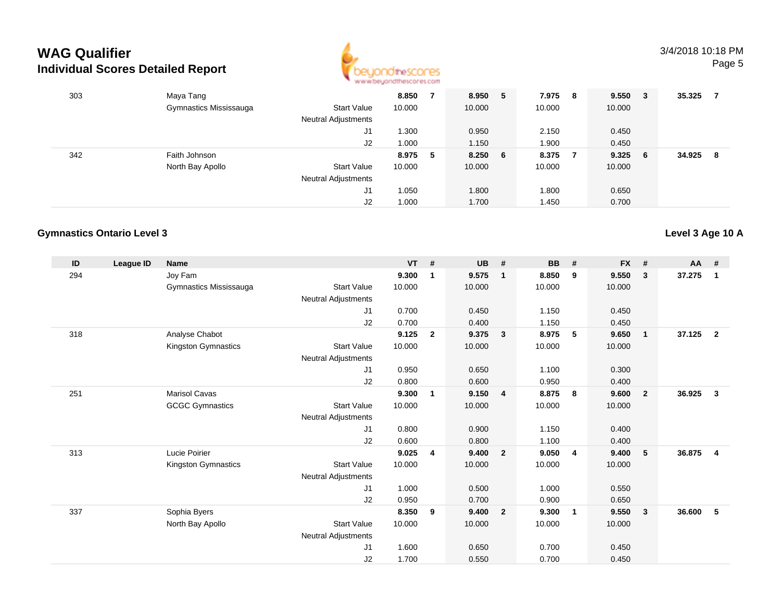

| 303 | Maya Tang              |                            | 8.850  |    | 8.950      | 5 | 7.975  | - 8 | 9.550  | - 3 | 35.325 | 7 |
|-----|------------------------|----------------------------|--------|----|------------|---|--------|-----|--------|-----|--------|---|
|     | Gymnastics Mississauga | <b>Start Value</b>         | 10.000 |    | 10.000     |   | 10.000 |     | 10.000 |     |        |   |
|     |                        | <b>Neutral Adjustments</b> |        |    |            |   |        |     |        |     |        |   |
|     |                        | J1                         | .300   |    | 0.950      |   | 2.150  |     | 0.450  |     |        |   |
|     |                        | J2                         | 1.000  |    | 1.150      |   | 1.900  |     | 0.450  |     |        |   |
| 342 | Faith Johnson          |                            | 8.975  | -5 | $8.250\ 6$ |   | 8.375  |     | 9.325  | - 6 | 34.925 | 8 |
|     | North Bay Apollo       | <b>Start Value</b>         | 10.000 |    | 10.000     |   | 10.000 |     | 10.000 |     |        |   |
|     |                        | <b>Neutral Adjustments</b> |        |    |            |   |        |     |        |     |        |   |
|     |                        | J1                         | 1.050  |    | 1.800      |   | 1.800  |     | 0.650  |     |        |   |
|     |                        | J <sub>2</sub>             | 1.000  |    | 1.700      |   | l.450  |     | 0.700  |     |        |   |

#### **Gymnastics Ontario Level 3**

| ID  | League ID | <b>Name</b>            |                            | <b>VT</b> | #              | <b>UB</b> | #                       | BB     | #              | <b>FX</b> | #              | <b>AA</b> | #              |
|-----|-----------|------------------------|----------------------------|-----------|----------------|-----------|-------------------------|--------|----------------|-----------|----------------|-----------|----------------|
| 294 |           | Joy Fam                |                            | 9.300     | $\mathbf{1}$   | 9.575     | $\overline{\mathbf{1}}$ | 8.850  | 9              | 9.550     | 3              | 37.275    | 1              |
|     |           | Gymnastics Mississauga | <b>Start Value</b>         | 10.000    |                | 10.000    |                         | 10.000 |                | 10.000    |                |           |                |
|     |           |                        | Neutral Adjustments        |           |                |           |                         |        |                |           |                |           |                |
|     |           |                        | J1                         | 0.700     |                | 0.450     |                         | 1.150  |                | 0.450     |                |           |                |
|     |           |                        | J2                         | 0.700     |                | 0.400     |                         | 1.150  |                | 0.450     |                |           |                |
| 318 |           | Analyse Chabot         |                            | 9.125     | $\overline{2}$ | 9.375     | $\overline{\mathbf{3}}$ | 8.975  | 5              | 9.650     | $\mathbf{1}$   | 37.125    | $\overline{2}$ |
|     |           | Kingston Gymnastics    | <b>Start Value</b>         | 10.000    |                | 10.000    |                         | 10.000 |                | 10.000    |                |           |                |
|     |           |                        | <b>Neutral Adjustments</b> |           |                |           |                         |        |                |           |                |           |                |
|     |           |                        | J <sub>1</sub>             | 0.950     |                | 0.650     |                         | 1.100  |                | 0.300     |                |           |                |
|     |           |                        | J2                         | 0.800     |                | 0.600     |                         | 0.950  |                | 0.400     |                |           |                |
| 251 |           | <b>Marisol Cavas</b>   |                            | 9.300     | $\mathbf{1}$   | 9.150     | $\overline{4}$          | 8.875  | - 8            | 9.600     | $\overline{2}$ | 36.925    | $\mathbf{3}$   |
|     |           | <b>GCGC Gymnastics</b> | <b>Start Value</b>         | 10.000    |                | 10.000    |                         | 10.000 |                | 10.000    |                |           |                |
|     |           |                        | <b>Neutral Adjustments</b> |           |                |           |                         |        |                |           |                |           |                |
|     |           |                        | J <sub>1</sub>             | 0.800     |                | 0.900     |                         | 1.150  |                | 0.400     |                |           |                |
|     |           |                        | J2                         | 0.600     |                | 0.800     |                         | 1.100  |                | 0.400     |                |           |                |
| 313 |           | Lucie Poirier          |                            | 9.025     | 4              | 9.400     | $\overline{\mathbf{2}}$ | 9.050  | -4             | 9.400     | 5              | 36.875    | 4              |
|     |           | Kingston Gymnastics    | <b>Start Value</b>         | 10.000    |                | 10.000    |                         | 10.000 |                | 10.000    |                |           |                |
|     |           |                        | <b>Neutral Adjustments</b> |           |                |           |                         |        |                |           |                |           |                |
|     |           |                        | J <sub>1</sub>             | 1.000     |                | 0.500     |                         | 1.000  |                | 0.550     |                |           |                |
|     |           |                        | J2                         | 0.950     |                | 0.700     |                         | 0.900  |                | 0.650     |                |           |                |
| 337 |           | Sophia Byers           |                            | 8.350     | 9              | 9.400     | $\overline{2}$          | 9.300  | $\overline{1}$ | 9.550     | $\mathbf{3}$   | 36.600    | 5              |
|     |           | North Bay Apollo       | <b>Start Value</b>         | 10.000    |                | 10.000    |                         | 10.000 |                | 10.000    |                |           |                |
|     |           |                        | <b>Neutral Adjustments</b> |           |                |           |                         |        |                |           |                |           |                |
|     |           |                        | J1                         | 1.600     |                | 0.650     |                         | 0.700  |                | 0.450     |                |           |                |
|     |           |                        | J2                         | 1.700     |                | 0.550     |                         | 0.700  |                | 0.450     |                |           |                |
|     |           |                        |                            |           |                |           |                         |        |                |           |                |           |                |

#### **Level 3 Age 10 A**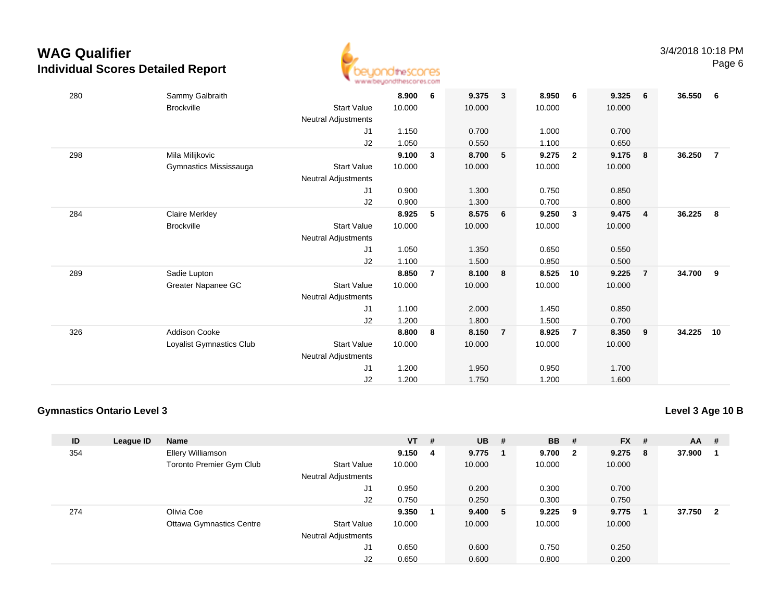

| 280 | Sammy Galbraith          |                            | 8.900  | - 6            | 9.375  | $\mathbf{3}$   | 8.950  | 6                       | 9.325  | 6              | 36.550 | 6              |
|-----|--------------------------|----------------------------|--------|----------------|--------|----------------|--------|-------------------------|--------|----------------|--------|----------------|
|     | <b>Brockville</b>        | <b>Start Value</b>         | 10.000 |                | 10.000 |                | 10.000 |                         | 10.000 |                |        |                |
|     |                          | <b>Neutral Adjustments</b> |        |                |        |                |        |                         |        |                |        |                |
|     |                          | J1                         | 1.150  |                | 0.700  |                | 1.000  |                         | 0.700  |                |        |                |
|     |                          | J2                         | 1.050  |                | 0.550  |                | 1.100  |                         | 0.650  |                |        |                |
| 298 | Mila Milijkovic          |                            | 9.100  | 3              | 8.700  | 5              | 9.275  | $\overline{\mathbf{2}}$ | 9.175  | 8              | 36.250 | $\overline{7}$ |
|     | Gymnastics Mississauga   | <b>Start Value</b>         | 10.000 |                | 10.000 |                | 10.000 |                         | 10.000 |                |        |                |
|     |                          | <b>Neutral Adjustments</b> |        |                |        |                |        |                         |        |                |        |                |
|     |                          | J1                         | 0.900  |                | 1.300  |                | 0.750  |                         | 0.850  |                |        |                |
|     |                          | J2                         | 0.900  |                | 1.300  |                | 0.700  |                         | 0.800  |                |        |                |
| 284 | <b>Claire Merkley</b>    |                            | 8.925  | 5              | 8.575  | 6              | 9.250  | $\mathbf{3}$            | 9.475  | $\overline{4}$ | 36.225 | 8              |
|     | <b>Brockville</b>        | <b>Start Value</b>         | 10.000 |                | 10.000 |                | 10.000 |                         | 10.000 |                |        |                |
|     |                          | Neutral Adjustments        |        |                |        |                |        |                         |        |                |        |                |
|     |                          | J1                         | 1.050  |                | 1.350  |                | 0.650  |                         | 0.550  |                |        |                |
|     |                          | J2                         | 1.100  |                | 1.500  |                | 0.850  |                         | 0.500  |                |        |                |
| 289 | Sadie Lupton             |                            | 8.850  | $\overline{7}$ | 8.100  | 8              | 8.525  | 10                      | 9.225  | $\overline{7}$ | 34.700 | 9              |
|     | Greater Napanee GC       | <b>Start Value</b>         | 10.000 |                | 10.000 |                | 10.000 |                         | 10.000 |                |        |                |
|     |                          | <b>Neutral Adjustments</b> |        |                |        |                |        |                         |        |                |        |                |
|     |                          | J1                         | 1.100  |                | 2.000  |                | 1.450  |                         | 0.850  |                |        |                |
|     |                          | J2                         | 1.200  |                | 1.800  |                | 1.500  |                         | 0.700  |                |        |                |
| 326 | <b>Addison Cooke</b>     |                            | 8.800  | 8              | 8.150  | $\overline{7}$ | 8.925  | $\overline{7}$          | 8.350  | 9              | 34.225 | 10             |
|     | Loyalist Gymnastics Club | <b>Start Value</b>         | 10.000 |                | 10.000 |                | 10.000 |                         | 10.000 |                |        |                |
|     |                          | <b>Neutral Adjustments</b> |        |                |        |                |        |                         |        |                |        |                |
|     |                          | J1                         | 1.200  |                | 1.950  |                | 0.950  |                         | 1.700  |                |        |                |
|     |                          | J2                         | 1.200  |                | 1.750  |                | 1.200  |                         | 1.600  |                |        |                |
|     |                          |                            |        |                |        |                |        |                         |        |                |        |                |

#### **Gymnastics Ontario Level 3**

**Level 3 Age 10 B**

| ID  | League ID | <b>Name</b>                     |                            | $VT$ # |                         | <b>UB</b> | -# | <b>BB</b> | #                       | <b>FX</b> | # | $AA$ # |                |
|-----|-----------|---------------------------------|----------------------------|--------|-------------------------|-----------|----|-----------|-------------------------|-----------|---|--------|----------------|
| 354 |           | Ellery Williamson               |                            | 9.150  | $\overline{\mathbf{4}}$ | 9.775     |    | 9.700     | $\overline{\mathbf{2}}$ | 9.275     | 8 | 37.900 |                |
|     |           | Toronto Premier Gym Club        | <b>Start Value</b>         | 10.000 |                         | 10.000    |    | 10.000    |                         | 10.000    |   |        |                |
|     |           |                                 | <b>Neutral Adjustments</b> |        |                         |           |    |           |                         |           |   |        |                |
|     |           |                                 | J1                         | 0.950  |                         | 0.200     |    | 0.300     |                         | 0.700     |   |        |                |
|     |           |                                 | J2                         | 0.750  |                         | 0.250     |    | 0.300     |                         | 0.750     |   |        |                |
| 274 |           | Olivia Coe                      |                            | 9.350  |                         | 9.400 5   |    | 9.225     | 9                       | 9.775     |   | 37.750 | $\overline{2}$ |
|     |           | <b>Ottawa Gymnastics Centre</b> | <b>Start Value</b>         | 10.000 |                         | 10.000    |    | 10.000    |                         | 10.000    |   |        |                |
|     |           |                                 | <b>Neutral Adjustments</b> |        |                         |           |    |           |                         |           |   |        |                |
|     |           |                                 | J1                         | 0.650  |                         | 0.600     |    | 0.750     |                         | 0.250     |   |        |                |
|     |           |                                 | J <sub>2</sub>             | 0.650  |                         | 0.600     |    | 0.800     |                         | 0.200     |   |        |                |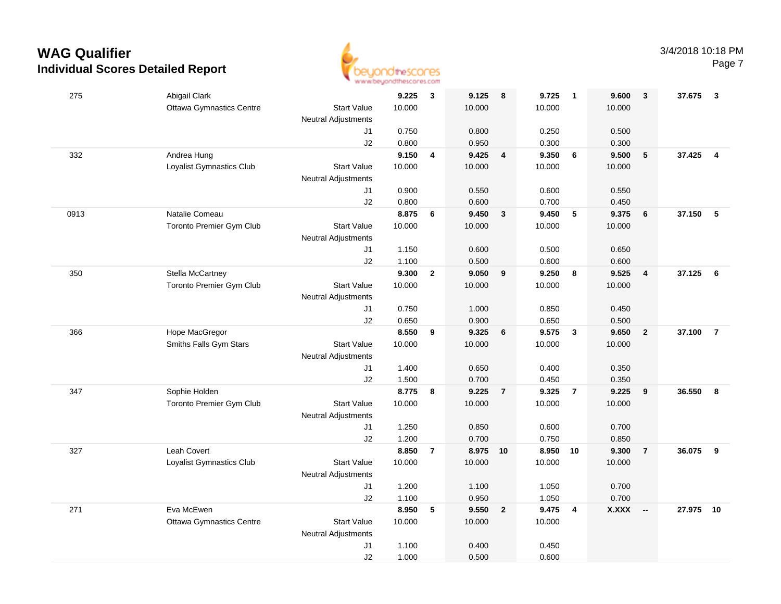

|      |                                 |                            | <b>BEREAD AND ARRAIGNMENT AND ARRAIGNMENT</b> |                |                |                         |                |                         |                |                          |          |                |
|------|---------------------------------|----------------------------|-----------------------------------------------|----------------|----------------|-------------------------|----------------|-------------------------|----------------|--------------------------|----------|----------------|
| 275  | Abigail Clark                   |                            | 9.225                                         | $\mathbf{3}$   | 9.125          | 8                       | 9.725          | $\overline{\mathbf{1}}$ | 9.600          | $\mathbf{3}$             | 37.675   | 3              |
|      | Ottawa Gymnastics Centre        | <b>Start Value</b>         | 10.000                                        |                | 10.000         |                         | 10.000         |                         | 10.000         |                          |          |                |
|      |                                 | Neutral Adjustments        |                                               |                |                |                         |                |                         |                |                          |          |                |
|      |                                 | J1                         | 0.750                                         |                | 0.800          |                         | 0.250          |                         | 0.500          |                          |          |                |
|      |                                 | J2                         | 0.800                                         |                | 0.950          |                         | 0.300          |                         | 0.300          |                          |          |                |
| 332  | Andrea Hung                     |                            | 9.150                                         | $\overline{4}$ | 9.425          | $\overline{\mathbf{4}}$ | 9.350          | $6\phantom{a}$          | 9.500          | 5                        | 37.425 4 |                |
|      | Loyalist Gymnastics Club        | <b>Start Value</b>         | 10.000                                        |                | 10.000         |                         | 10.000         |                         | 10.000         |                          |          |                |
|      |                                 | <b>Neutral Adjustments</b> |                                               |                |                |                         |                |                         |                |                          |          |                |
|      |                                 | J1<br>J2                   | 0.900<br>0.800                                |                | 0.550<br>0.600 |                         | 0.600<br>0.700 |                         | 0.550<br>0.450 |                          |          |                |
| 0913 | Natalie Comeau                  |                            | 8.875                                         | 6              | 9.450          | $\overline{\mathbf{3}}$ | 9.450          | $\sqrt{5}$              | 9.375          | $6\phantom{1}6$          | 37.150   | $-5$           |
|      | Toronto Premier Gym Club        | <b>Start Value</b>         | 10.000                                        |                | 10.000         |                         | 10.000         |                         | 10.000         |                          |          |                |
|      |                                 | <b>Neutral Adjustments</b> |                                               |                |                |                         |                |                         |                |                          |          |                |
|      |                                 | J1                         | 1.150                                         |                | 0.600          |                         | 0.500          |                         | 0.650          |                          |          |                |
|      |                                 | J2                         | 1.100                                         |                | 0.500          |                         | 0.600          |                         | 0.600          |                          |          |                |
| 350  | Stella McCartney                |                            | 9.300                                         | $\overline{2}$ | 9.050          | 9                       | 9.250          | 8                       | 9.525          | $\overline{\mathbf{4}}$  | 37.125   | 6              |
|      | Toronto Premier Gym Club        | <b>Start Value</b>         | 10.000                                        |                | 10.000         |                         | 10.000         |                         | 10.000         |                          |          |                |
|      |                                 | Neutral Adjustments        |                                               |                |                |                         |                |                         |                |                          |          |                |
|      |                                 | J1                         | 0.750                                         |                | 1.000          |                         | 0.850          |                         | 0.450          |                          |          |                |
|      |                                 | J2                         | 0.650                                         |                | 0.900          |                         | 0.650          |                         | 0.500          |                          |          |                |
| 366  | Hope MacGregor                  |                            | 8.550                                         | 9              | 9.325          | $6\phantom{1}6$         | 9.575          | $\overline{\mathbf{3}}$ | 9.650          | $\overline{2}$           | 37.100   | $\overline{7}$ |
|      | Smiths Falls Gym Stars          | <b>Start Value</b>         | 10.000                                        |                | 10.000         |                         | 10.000         |                         | 10.000         |                          |          |                |
|      |                                 | <b>Neutral Adjustments</b> |                                               |                |                |                         |                |                         |                |                          |          |                |
|      |                                 | J1                         | 1.400                                         |                | 0.650          |                         | 0.400          |                         | 0.350          |                          |          |                |
|      |                                 | J2                         | 1.500                                         |                | 0.700          |                         | 0.450          |                         | 0.350          |                          |          |                |
| 347  | Sophie Holden                   |                            | 8.775                                         | 8              | 9.225          | $\overline{7}$          | 9.325          | $\overline{7}$          | 9.225          | 9                        | 36.550   | 8              |
|      | Toronto Premier Gym Club        | <b>Start Value</b>         | 10.000                                        |                | 10.000         |                         | 10.000         |                         | 10.000         |                          |          |                |
|      |                                 | Neutral Adjustments        |                                               |                |                |                         |                |                         |                |                          |          |                |
|      |                                 | J1<br>J2                   | 1.250<br>1.200                                |                | 0.850<br>0.700 |                         | 0.600<br>0.750 |                         | 0.700<br>0.850 |                          |          |                |
| 327  | <b>Leah Covert</b>              |                            | 8.850                                         | $\overline{7}$ | 8.975 10       |                         | 8.950 10       |                         | 9.300          | $\overline{7}$           | 36.075   | 9              |
|      | Loyalist Gymnastics Club        | <b>Start Value</b>         | 10.000                                        |                | 10.000         |                         | 10.000         |                         | 10.000         |                          |          |                |
|      |                                 | Neutral Adjustments        |                                               |                |                |                         |                |                         |                |                          |          |                |
|      |                                 | J1                         | 1.200                                         |                | 1.100          |                         | 1.050          |                         | 0.700          |                          |          |                |
|      |                                 | J2                         | 1.100                                         |                | 0.950          |                         | 1.050          |                         | 0.700          |                          |          |                |
| 271  | Eva McEwen                      |                            | 8.950                                         | 5              | 9.550          | $\overline{\mathbf{2}}$ | 9.475          | $\overline{4}$          | <b>X.XXX</b>   | $\overline{\phantom{a}}$ | 27.975   | 10             |
|      | <b>Ottawa Gymnastics Centre</b> | <b>Start Value</b>         | 10.000                                        |                | 10.000         |                         | 10.000         |                         |                |                          |          |                |
|      |                                 | <b>Neutral Adjustments</b> |                                               |                |                |                         |                |                         |                |                          |          |                |
|      |                                 | J1                         | 1.100                                         |                | 0.400          |                         | 0.450          |                         |                |                          |          |                |
|      |                                 | J2                         | 1.000                                         |                | 0.500          |                         | 0.600          |                         |                |                          |          |                |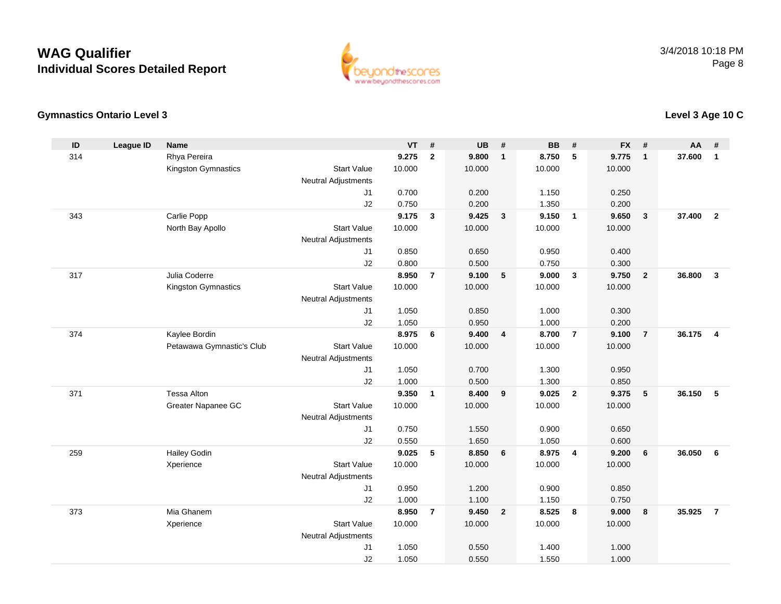

#### **Gymnastics Ontario Level 3**

| ID  | <b>League ID</b> | <b>Name</b>               |                            | <b>VT</b>      | #                        | <b>UB</b>      | #                       | <b>BB</b>      | #                       | <b>FX</b>      | #              | AA     | #              |
|-----|------------------|---------------------------|----------------------------|----------------|--------------------------|----------------|-------------------------|----------------|-------------------------|----------------|----------------|--------|----------------|
| 314 |                  | Rhya Pereira              |                            | 9.275          | $\overline{2}$           | 9.800          | $\overline{1}$          | 8.750          | 5                       | 9.775          | $\mathbf{1}$   | 37.600 | $\mathbf{1}$   |
|     |                  | Kingston Gymnastics       | <b>Start Value</b>         | 10.000         |                          | 10.000         |                         | 10.000         |                         | 10.000         |                |        |                |
|     |                  |                           | <b>Neutral Adjustments</b> |                |                          |                |                         |                |                         |                |                |        |                |
|     |                  |                           | J <sub>1</sub>             | 0.700          |                          | 0.200          |                         | 1.150          |                         | 0.250          |                |        |                |
|     |                  |                           | J2                         | 0.750          |                          | 0.200          |                         | 1.350          |                         | 0.200          |                |        |                |
| 343 |                  | Carlie Popp               |                            | 9.175          | $\mathbf{3}$             | 9.425          | $\overline{\mathbf{3}}$ | 9.150          | $\overline{1}$          | 9.650          | $\mathbf{3}$   | 37.400 | $\overline{2}$ |
|     |                  | North Bay Apollo          | <b>Start Value</b>         | 10.000         |                          | 10.000         |                         | 10.000         |                         | 10.000         |                |        |                |
|     |                  |                           | Neutral Adjustments        |                |                          |                |                         |                |                         |                |                |        |                |
|     |                  |                           | J <sub>1</sub>             | 0.850          |                          | 0.650          |                         | 0.950          |                         | 0.400          |                |        |                |
|     |                  |                           | J2                         | 0.800          |                          | 0.500          |                         | 0.750          |                         | 0.300          |                |        |                |
| 317 |                  | Julia Coderre             |                            | 8.950          | $\overline{7}$           | 9.100          | 5                       | 9.000          | $\overline{\mathbf{3}}$ | 9.750          | $\overline{2}$ | 36,800 | 3              |
|     |                  | Kingston Gymnastics       | <b>Start Value</b>         | 10.000         |                          | 10.000         |                         | 10.000         |                         | 10.000         |                |        |                |
|     |                  |                           | <b>Neutral Adjustments</b> |                |                          |                |                         |                |                         |                |                |        |                |
|     |                  |                           | J <sub>1</sub>             | 1.050          |                          | 0.850          |                         | 1.000          |                         | 0.300          |                |        |                |
|     |                  |                           | J2                         | 1.050          |                          | 0.950          |                         | 1.000          |                         | 0.200          |                |        |                |
| 374 |                  | Kaylee Bordin             |                            | 8.975          | 6                        | 9.400          | $\overline{4}$          | 8.700          | $\overline{7}$          | 9.100          | $\overline{7}$ | 36.175 | $\overline{4}$ |
|     |                  | Petawawa Gymnastic's Club | <b>Start Value</b>         | 10.000         |                          | 10.000         |                         | 10.000         |                         | 10.000         |                |        |                |
|     |                  |                           | <b>Neutral Adjustments</b> |                |                          |                |                         |                |                         |                |                |        |                |
|     |                  |                           | J1                         | 1.050          |                          | 0.700          |                         | 1.300          |                         | 0.950          |                |        |                |
|     |                  |                           | J2                         | 1.000          |                          | 0.500          |                         | 1.300          |                         | 0.850          |                |        |                |
| 371 |                  | <b>Tessa Alton</b>        |                            | 9.350          | $\overline{\phantom{a}}$ | 8.400          | 9                       | 9.025          | $\overline{2}$          | 9.375          | 5              | 36.150 | 5              |
|     |                  | Greater Napanee GC        | <b>Start Value</b>         | 10.000         |                          | 10.000         |                         | 10.000         |                         | 10.000         |                |        |                |
|     |                  |                           | <b>Neutral Adjustments</b> |                |                          |                |                         |                |                         |                |                |        |                |
|     |                  |                           | J <sub>1</sub><br>J2       | 0.750<br>0.550 |                          | 1.550<br>1.650 |                         | 0.900<br>1.050 |                         | 0.650<br>0.600 |                |        |                |
| 259 |                  | <b>Hailey Godin</b>       |                            | 9.025          | 5                        | 8.850          | 6                       | 8.975          | 4                       | 9.200          | 6              | 36.050 | 6              |
|     |                  | Xperience                 | <b>Start Value</b>         | 10.000         |                          | 10.000         |                         | 10.000         |                         | 10.000         |                |        |                |
|     |                  |                           | <b>Neutral Adjustments</b> |                |                          |                |                         |                |                         |                |                |        |                |
|     |                  |                           | J1                         | 0.950          |                          | 1.200          |                         | 0.900          |                         | 0.850          |                |        |                |
|     |                  |                           | J2                         | 1.000          |                          | 1.100          |                         | 1.150          |                         | 0.750          |                |        |                |
| 373 |                  | Mia Ghanem                |                            | 8.950          | $\overline{7}$           | 9.450          | $\overline{\mathbf{2}}$ | 8.525          | 8                       | 9.000          | 8              | 35.925 | $\overline{7}$ |
|     |                  | Xperience                 | <b>Start Value</b>         | 10.000         |                          | 10.000         |                         | 10.000         |                         | 10.000         |                |        |                |
|     |                  |                           | <b>Neutral Adjustments</b> |                |                          |                |                         |                |                         |                |                |        |                |
|     |                  |                           | J <sub>1</sub>             | 1.050          |                          | 0.550          |                         | 1.400          |                         | 1.000          |                |        |                |
|     |                  |                           | J2                         | 1.050          |                          | 0.550          |                         | 1.550          |                         | 1.000          |                |        |                |
|     |                  |                           |                            |                |                          |                |                         |                |                         |                |                |        |                |

#### **Level 3 Age 10 C**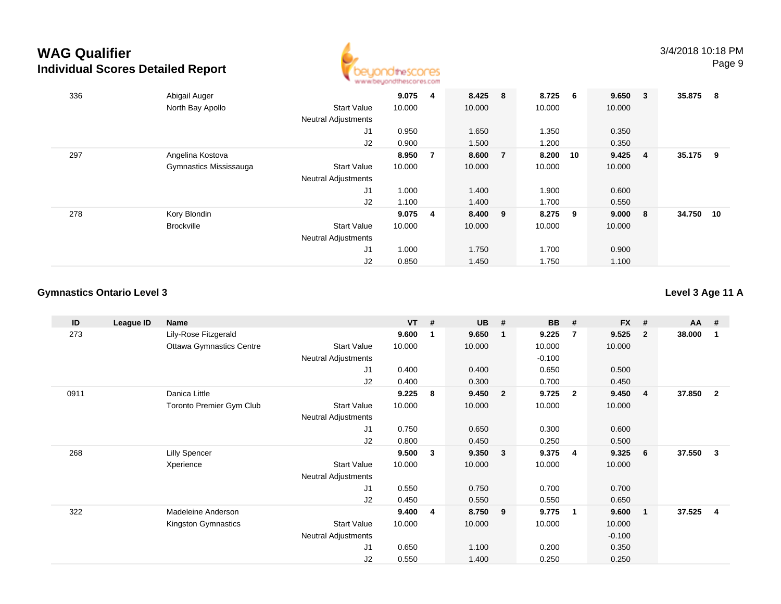

| 336 | Abigail Auger          |                            | 9.075     | 4              | 8.425 8 |                | 8.725    | 6   | 9.650  | $\overline{\mathbf{3}}$ | 35.875 | -8 |
|-----|------------------------|----------------------------|-----------|----------------|---------|----------------|----------|-----|--------|-------------------------|--------|----|
|     | North Bay Apollo       | <b>Start Value</b>         | 10.000    |                | 10.000  |                | 10.000   |     | 10.000 |                         |        |    |
|     |                        | <b>Neutral Adjustments</b> |           |                |         |                |          |     |        |                         |        |    |
|     |                        | J1                         | 0.950     |                | 1.650   |                | 1.350    |     | 0.350  |                         |        |    |
|     |                        | J2                         | 0.900     |                | 1.500   |                | 1.200    |     | 0.350  |                         |        |    |
| 297 | Angelina Kostova       |                            | 8.950     | $\overline{7}$ | 8.600   | $\overline{7}$ | 8.200 10 |     | 9.425  | $\overline{4}$          | 35.175 | 9  |
|     | Gymnastics Mississauga | <b>Start Value</b>         | 10.000    |                | 10.000  |                | 10.000   |     | 10.000 |                         |        |    |
|     |                        | <b>Neutral Adjustments</b> |           |                |         |                |          |     |        |                         |        |    |
|     |                        | J1                         | 1.000     |                | 1.400   |                | 1.900    |     | 0.600  |                         |        |    |
|     |                        | J2                         | 1.100     |                | 1.400   |                | 1.700    |     | 0.550  |                         |        |    |
| 278 | Kory Blondin           |                            | $9.075$ 4 |                | 8.400 9 |                | 8.275    | - 9 | 9.000  | - 8                     | 34.750 | 10 |
|     | <b>Brockville</b>      | <b>Start Value</b>         | 10.000    |                | 10.000  |                | 10.000   |     | 10.000 |                         |        |    |
|     |                        | <b>Neutral Adjustments</b> |           |                |         |                |          |     |        |                         |        |    |
|     |                        | J1                         | 1.000     |                | 1.750   |                | 1.700    |     | 0.900  |                         |        |    |
|     |                        | J2                         | 0.850     |                | 1.450   |                | 1.750    |     | 1.100  |                         |        |    |

#### **Gymnastics Ontario Level 3**

**Level 3 Age 11 A**

| ID   | League ID | Name                            |                            | $VT$ # |              | <b>UB</b> | #              | <b>BB</b> | #                       | <b>FX</b> | - #                     | AA     | -#                      |
|------|-----------|---------------------------------|----------------------------|--------|--------------|-----------|----------------|-----------|-------------------------|-----------|-------------------------|--------|-------------------------|
| 273  |           | Lily-Rose Fitzgerald            |                            | 9.600  | $\mathbf{1}$ | 9.650     | $\mathbf{1}$   | 9.225     | $\overline{7}$          | 9.525     | $\overline{\mathbf{2}}$ | 38.000 | $\mathbf{1}$            |
|      |           | <b>Ottawa Gymnastics Centre</b> | <b>Start Value</b>         | 10.000 |              | 10.000    |                | 10.000    |                         | 10.000    |                         |        |                         |
|      |           |                                 | Neutral Adjustments        |        |              |           |                | $-0.100$  |                         |           |                         |        |                         |
|      |           |                                 | J1                         | 0.400  |              | 0.400     |                | 0.650     |                         | 0.500     |                         |        |                         |
|      |           |                                 | J2                         | 0.400  |              | 0.300     |                | 0.700     |                         | 0.450     |                         |        |                         |
| 0911 |           | Danica Little                   |                            | 9.225  | 8            | 9.450     | $\overline{2}$ | 9.725     | $\overline{\mathbf{2}}$ | 9.450     | $\overline{4}$          | 37.850 | $\overline{\mathbf{2}}$ |
|      |           | <b>Toronto Premier Gym Club</b> | <b>Start Value</b>         | 10.000 |              | 10.000    |                | 10.000    |                         | 10.000    |                         |        |                         |
|      |           |                                 | Neutral Adjustments        |        |              |           |                |           |                         |           |                         |        |                         |
|      |           |                                 | J <sub>1</sub>             | 0.750  |              | 0.650     |                | 0.300     |                         | 0.600     |                         |        |                         |
|      |           |                                 | J2                         | 0.800  |              | 0.450     |                | 0.250     |                         | 0.500     |                         |        |                         |
| 268  |           | <b>Lilly Spencer</b>            |                            | 9.500  | 3            | 9.350     | $\mathbf{3}$   | 9.375     | $\overline{4}$          | 9.325     | 6                       | 37.550 | -3                      |
|      |           | Xperience                       | <b>Start Value</b>         | 10.000 |              | 10.000    |                | 10.000    |                         | 10.000    |                         |        |                         |
|      |           |                                 | <b>Neutral Adjustments</b> |        |              |           |                |           |                         |           |                         |        |                         |
|      |           |                                 | J1                         | 0.550  |              | 0.750     |                | 0.700     |                         | 0.700     |                         |        |                         |
|      |           |                                 | J2                         | 0.450  |              | 0.550     |                | 0.550     |                         | 0.650     |                         |        |                         |
| 322  |           | Madeleine Anderson              |                            | 9.400  | 4            | 8.750     | 9              | 9.775     | $\overline{\mathbf{1}}$ | 9.600     | $\overline{\mathbf{1}}$ | 37.525 | -4                      |
|      |           | Kingston Gymnastics             | <b>Start Value</b>         | 10.000 |              | 10.000    |                | 10.000    |                         | 10.000    |                         |        |                         |
|      |           |                                 | <b>Neutral Adjustments</b> |        |              |           |                |           |                         | $-0.100$  |                         |        |                         |
|      |           |                                 | J1                         | 0.650  |              | 1.100     |                | 0.200     |                         | 0.350     |                         |        |                         |
|      |           |                                 | J <sub>2</sub>             | 0.550  |              | 1.400     |                | 0.250     |                         | 0.250     |                         |        |                         |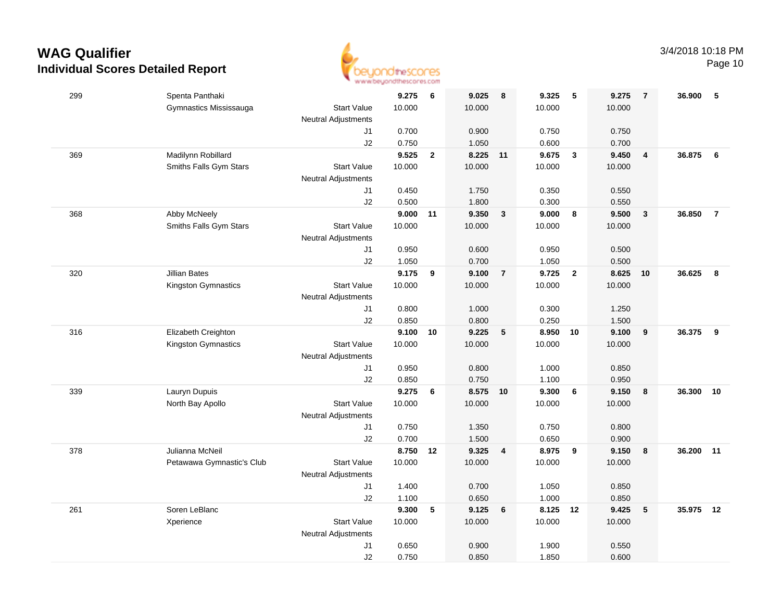

| 299 | Spenta Panthaki           |                                           | 9.275    | 6            | 9.025          | 8                       | 9.325          | 5              | 9.275  | $\overline{7}$   | 36.900 | 5                       |
|-----|---------------------------|-------------------------------------------|----------|--------------|----------------|-------------------------|----------------|----------------|--------|------------------|--------|-------------------------|
|     | Gymnastics Mississauga    | <b>Start Value</b>                        | 10.000   |              | 10.000         |                         | 10.000         |                | 10.000 |                  |        |                         |
|     |                           | <b>Neutral Adjustments</b>                |          |              |                |                         |                |                |        |                  |        |                         |
|     |                           | J1                                        | 0.700    |              | 0.900          |                         | 0.750          |                | 0.750  |                  |        |                         |
|     |                           | J2                                        | 0.750    |              | 1.050          |                         | 0.600          |                | 0.700  |                  |        |                         |
| 369 | Madilynn Robillard        |                                           | 9.525    | $\mathbf{2}$ | 8.225          | 11                      | 9.675          | $\mathbf{3}$   | 9.450  | 4                | 36.875 | 6                       |
|     | Smiths Falls Gym Stars    | <b>Start Value</b>                        | 10.000   |              | 10.000         |                         | 10.000         |                | 10.000 |                  |        |                         |
|     |                           | Neutral Adjustments                       |          |              |                |                         |                |                |        |                  |        |                         |
|     |                           | J1                                        | 0.450    |              | 1.750          |                         | 0.350          |                | 0.550  |                  |        |                         |
|     |                           | J2                                        | 0.500    |              | 1.800          |                         | 0.300          |                | 0.550  |                  |        |                         |
| 368 | Abby McNeely              |                                           | 9.000 11 |              | 9.350          | $\overline{\mathbf{3}}$ | 9.000          | 8              | 9.500  | 3                | 36.850 | $\overline{7}$          |
|     | Smiths Falls Gym Stars    | <b>Start Value</b>                        | 10.000   |              | 10.000         |                         | 10.000         |                | 10.000 |                  |        |                         |
|     |                           | <b>Neutral Adjustments</b>                |          |              |                |                         |                |                |        |                  |        |                         |
|     |                           | J1                                        | 0.950    |              | 0.600          |                         | 0.950          |                | 0.500  |                  |        |                         |
|     |                           | J2                                        | 1.050    |              | 0.700          |                         | 1.050          |                | 0.500  |                  |        |                         |
| 320 | <b>Jillian Bates</b>      |                                           | 9.175    | 9            | 9.100          | $\overline{7}$          | 9.725          | $\overline{2}$ | 8.625  | 10               | 36.625 | 8                       |
|     | Kingston Gymnastics       | <b>Start Value</b>                        | 10.000   |              | 10.000         |                         | 10.000         |                | 10.000 |                  |        |                         |
|     |                           | <b>Neutral Adjustments</b>                |          |              |                |                         |                |                |        |                  |        |                         |
|     |                           | J1                                        | 0.800    |              | 1.000          |                         | 0.300          |                | 1.250  |                  |        |                         |
|     |                           | J2                                        | 0.850    |              | 0.800          |                         | 0.250          |                | 1.500  |                  |        |                         |
| 316 | Elizabeth Creighton       |                                           | 9.100    | 10           | 9.225          | $-5$                    | 8.950          | 10             | 9.100  | $\boldsymbol{9}$ | 36.375 | $\overline{\mathbf{9}}$ |
|     | Kingston Gymnastics       | <b>Start Value</b>                        | 10.000   |              | 10.000         |                         | 10.000         |                | 10.000 |                  |        |                         |
|     |                           | <b>Neutral Adjustments</b>                |          |              |                |                         |                |                |        |                  |        |                         |
|     |                           | J1                                        | 0.950    |              | 0.800          |                         | 1.000          |                | 0.850  |                  |        |                         |
|     |                           | J2                                        | 0.850    |              | 0.750          |                         | 1.100          |                | 0.950  |                  |        |                         |
| 339 | Lauryn Dupuis             |                                           | 9.275    | 6            | 8.575          | 10                      | 9.300          | 6              | 9.150  | 8                | 36.300 | 10                      |
|     | North Bay Apollo          | <b>Start Value</b>                        | 10.000   |              | 10.000         |                         | 10.000         |                | 10.000 |                  |        |                         |
|     |                           | <b>Neutral Adjustments</b>                |          |              |                |                         |                |                |        |                  |        |                         |
|     |                           | J1                                        | 0.750    |              | 1.350          |                         | 0.750          |                | 0.800  |                  |        |                         |
|     |                           | J2                                        | 0.700    |              | 1.500          |                         | 0.650          |                | 0.900  |                  |        |                         |
| 378 | Julianna McNeil           |                                           | 8.750 12 |              | 9.325          | $\overline{4}$          | 8.975          | 9              | 9.150  | 8                | 36.200 | 11                      |
|     | Petawawa Gymnastic's Club | <b>Start Value</b>                        | 10.000   |              | 10.000         |                         | 10.000         |                | 10.000 |                  |        |                         |
|     |                           | <b>Neutral Adjustments</b>                |          |              |                |                         |                |                |        |                  |        |                         |
|     |                           | J1                                        | 1.400    |              | 0.700<br>0.650 |                         | 1.050          |                | 0.850  |                  |        |                         |
|     | Soren LeBlanc             | J2                                        | 1.100    |              |                |                         | 1.000          |                | 0.850  |                  |        |                         |
| 261 |                           |                                           | 9.300    | 5            | 9.125          | 6                       | 8.125          | 12             | 9.425  | ${\bf 5}$        | 35.975 | 12                      |
|     | Xperience                 | <b>Start Value</b><br>Neutral Adjustments | 10.000   |              | 10.000         |                         | 10.000         |                | 10.000 |                  |        |                         |
|     |                           |                                           | 0.650    |              | 0.900          |                         |                |                | 0.550  |                  |        |                         |
|     |                           | J1<br>J2                                  | 0.750    |              | 0.850          |                         | 1.900<br>1.850 |                | 0.600  |                  |        |                         |
|     |                           |                                           |          |              |                |                         |                |                |        |                  |        |                         |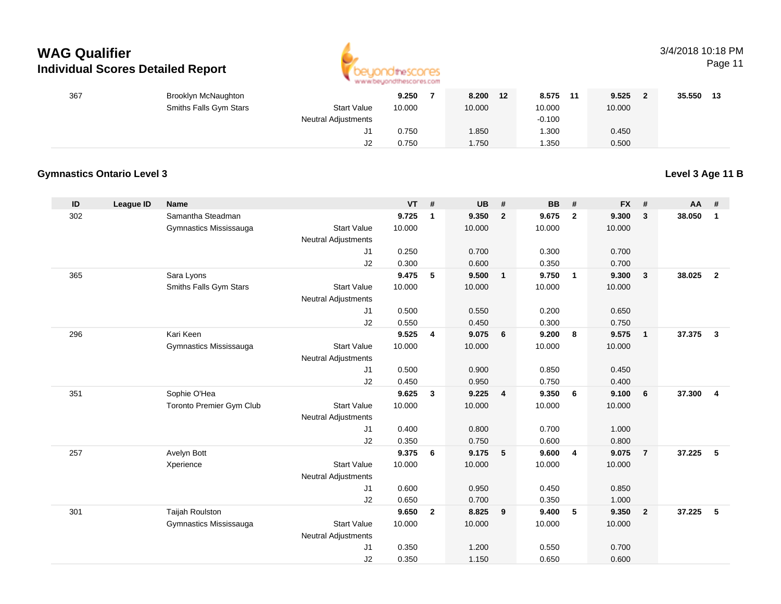

#### 3/4/2018 10:18 PM

Page 11

| 367 | <b>Brooklyn McNaughton</b> |                            | 9.250  | 8.200<br>12 | 8.575<br>11 | 9.525  | 35.550<br>-13 |
|-----|----------------------------|----------------------------|--------|-------------|-------------|--------|---------------|
|     | Smiths Falls Gym Stars     | <b>Start Value</b>         | 10.000 | 10.000      | 10.000      | 10.000 |               |
|     |                            | <b>Neutral Adjustments</b> |        |             | $-0.100$    |        |               |
|     |                            | J1                         | 0.750  | .850        | 1.300       | 0.450  |               |
|     |                            | J2                         | 0.750  | 1.750       | 1.350       | 0.500  |               |

#### **Gymnastics Ontario Level 3**

**Level 3 Age 11 B**

| ID  | <b>League ID</b> | <b>Name</b>              |                            | <b>VT</b> | #              | <b>UB</b> | #              | <b>BB</b> | #              | <b>FX</b> | #                       | AA     | #              |
|-----|------------------|--------------------------|----------------------------|-----------|----------------|-----------|----------------|-----------|----------------|-----------|-------------------------|--------|----------------|
| 302 |                  | Samantha Steadman        |                            | 9.725     | $\mathbf{1}$   | 9.350     | $\overline{2}$ | 9.675     | $\overline{2}$ | 9.300     | 3                       | 38.050 | $\mathbf{1}$   |
|     |                  | Gymnastics Mississauga   | <b>Start Value</b>         | 10.000    |                | 10.000    |                | 10.000    |                | 10.000    |                         |        |                |
|     |                  |                          | <b>Neutral Adjustments</b> |           |                |           |                |           |                |           |                         |        |                |
|     |                  |                          | J1                         | 0.250     |                | 0.700     |                | 0.300     |                | 0.700     |                         |        |                |
|     |                  |                          | J2                         | 0.300     |                | 0.600     |                | 0.350     |                | 0.700     |                         |        |                |
| 365 |                  | Sara Lyons               |                            | 9.475     | 5              | 9.500     | $\mathbf{1}$   | 9.750     | $\overline{1}$ | 9.300     | $\overline{\mathbf{3}}$ | 38.025 | $\overline{2}$ |
|     |                  | Smiths Falls Gym Stars   | <b>Start Value</b>         | 10.000    |                | 10.000    |                | 10.000    |                | 10.000    |                         |        |                |
|     |                  |                          | <b>Neutral Adjustments</b> |           |                |           |                |           |                |           |                         |        |                |
|     |                  |                          | J1                         | 0.500     |                | 0.550     |                | 0.200     |                | 0.650     |                         |        |                |
|     |                  |                          | J2                         | 0.550     |                | 0.450     |                | 0.300     |                | 0.750     |                         |        |                |
| 296 |                  | Kari Keen                |                            | 9.525     | 4              | 9.075     | 6              | 9.200     | 8              | 9.575     | $\overline{1}$          | 37.375 | $\mathbf{3}$   |
|     |                  | Gymnastics Mississauga   | <b>Start Value</b>         | 10.000    |                | 10.000    |                | 10.000    |                | 10.000    |                         |        |                |
|     |                  |                          | <b>Neutral Adjustments</b> |           |                |           |                |           |                |           |                         |        |                |
|     |                  |                          | J1                         | 0.500     |                | 0.900     |                | 0.850     |                | 0.450     |                         |        |                |
|     |                  |                          | J2                         | 0.450     |                | 0.950     |                | 0.750     |                | 0.400     |                         |        |                |
| 351 |                  | Sophie O'Hea             |                            | 9.625     | 3              | 9.225     | $\overline{4}$ | 9.350     | 6              | 9.100     | 6                       | 37.300 | 4              |
|     |                  | Toronto Premier Gym Club | <b>Start Value</b>         | 10.000    |                | 10.000    |                | 10.000    |                | 10.000    |                         |        |                |
|     |                  |                          | Neutral Adjustments        |           |                |           |                |           |                |           |                         |        |                |
|     |                  |                          | J1                         | 0.400     |                | 0.800     |                | 0.700     |                | 1.000     |                         |        |                |
|     |                  |                          | J2                         | 0.350     |                | 0.750     |                | 0.600     |                | 0.800     |                         |        |                |
| 257 |                  | Avelyn Bott              |                            | 9.375     | 6              | 9.175     | 5              | 9.600     | $\overline{4}$ | 9.075     | 7                       | 37.225 | 5              |
|     |                  | Xperience                | <b>Start Value</b>         | 10.000    |                | 10.000    |                | 10.000    |                | 10.000    |                         |        |                |
|     |                  |                          | Neutral Adjustments        |           |                |           |                |           |                |           |                         |        |                |
|     |                  |                          | J1                         | 0.600     |                | 0.950     |                | 0.450     |                | 0.850     |                         |        |                |
|     |                  |                          | J2                         | 0.650     |                | 0.700     |                | 0.350     |                | 1.000     |                         |        |                |
| 301 |                  | Taijah Roulston          |                            | 9.650     | $\overline{2}$ | 8.825     | 9              | 9.400     | 5              | 9.350     | $\overline{2}$          | 37.225 | 5              |
|     |                  | Gymnastics Mississauga   | <b>Start Value</b>         | 10.000    |                | 10.000    |                | 10.000    |                | 10.000    |                         |        |                |
|     |                  |                          | <b>Neutral Adjustments</b> |           |                |           |                |           |                |           |                         |        |                |
|     |                  |                          | J1                         | 0.350     |                | 1.200     |                | 0.550     |                | 0.700     |                         |        |                |
|     |                  |                          | J2                         | 0.350     |                | 1.150     |                | 0.650     |                | 0.600     |                         |        |                |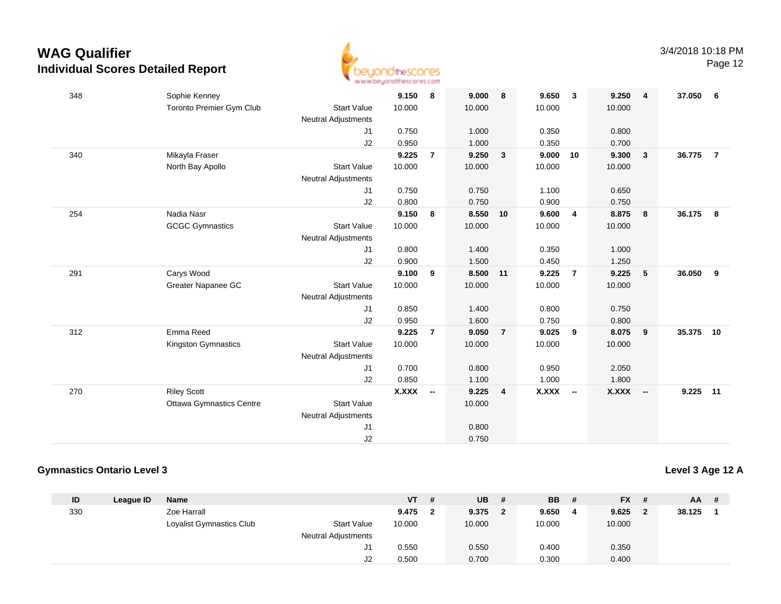| <b>WAG Qualifier</b>                     |
|------------------------------------------|
| <b>Individual Scores Detailed Report</b> |



| 348 | Sophie Kenney                   |                            | 9.150     | 8              | 9.000    | 8                       | 9.650        | $\overline{\mathbf{3}}$  | 9.250        | $\overline{4}$           | 37.050    | - 6            |
|-----|---------------------------------|----------------------------|-----------|----------------|----------|-------------------------|--------------|--------------------------|--------------|--------------------------|-----------|----------------|
|     | Toronto Premier Gym Club        | <b>Start Value</b>         | 10.000    |                | 10.000   |                         | 10.000       |                          | 10.000       |                          |           |                |
|     |                                 | <b>Neutral Adjustments</b> |           |                |          |                         |              |                          |              |                          |           |                |
|     |                                 | J1                         | 0.750     |                | 1.000    |                         | 0.350        |                          | 0.800        |                          |           |                |
|     |                                 | J2                         | 0.950     |                | 1.000    |                         | 0.350        |                          | 0.700        |                          |           |                |
| 340 | Mikayla Fraser                  |                            | 9.225     | $\overline{7}$ | 9.250    | $\mathbf{3}$            | 9.000        | 10                       | 9.300        | $\mathbf{3}$             | 36.775    | $\overline{7}$ |
|     | North Bay Apollo                | <b>Start Value</b>         | 10.000    |                | 10.000   |                         | 10.000       |                          | 10.000       |                          |           |                |
|     |                                 | <b>Neutral Adjustments</b> |           |                |          |                         |              |                          |              |                          |           |                |
|     |                                 | J1                         | 0.750     |                | 0.750    |                         | 1.100        |                          | 0.650        |                          |           |                |
|     |                                 | J2                         | 0.800     |                | 0.750    |                         | 0.900        |                          | 0.750        |                          |           |                |
| 254 | Nadia Nasr                      |                            | 9.150     | 8              | 8.550    | 10                      | 9.600        | $\overline{4}$           | 8.875        | 8                        | 36.175    | 8              |
|     | <b>GCGC Gymnastics</b>          | <b>Start Value</b>         | 10.000    |                | 10.000   |                         | 10.000       |                          | 10.000       |                          |           |                |
|     |                                 | <b>Neutral Adjustments</b> |           |                |          |                         |              |                          |              |                          |           |                |
|     |                                 | J1                         | 0.800     |                | 1.400    |                         | 0.350        |                          | 1.000        |                          |           |                |
|     |                                 | J2                         | 0.900     |                | 1.500    |                         | 0.450        |                          | 1.250        |                          |           |                |
| 291 | Carys Wood                      |                            | 9.100     | 9              | 8.500 11 |                         | 9.225        | $\overline{7}$           | 9.225        | 5                        | 36.050    | 9              |
|     | Greater Napanee GC              | <b>Start Value</b>         | 10.000    |                | 10.000   |                         | 10.000       |                          | 10.000       |                          |           |                |
|     |                                 | <b>Neutral Adjustments</b> |           |                |          |                         |              |                          |              |                          |           |                |
|     |                                 | J1                         | 0.850     |                | 1.400    |                         | 0.800        |                          | 0.750        |                          |           |                |
|     |                                 | J2                         | 0.950     |                | 1.600    |                         | 0.750        |                          | 0.800        |                          |           |                |
| 312 | Emma Reed                       |                            | 9.225     | $\overline{7}$ | 9.050    | $\overline{7}$          | 9.025        | 9                        | 8.075        | 9                        | 35.375 10 |                |
|     | Kingston Gymnastics             | <b>Start Value</b>         | 10.000    |                | 10.000   |                         | 10.000       |                          | 10.000       |                          |           |                |
|     |                                 | <b>Neutral Adjustments</b> |           |                |          |                         |              |                          |              |                          |           |                |
|     |                                 | J1                         | 0.700     |                | 0.800    |                         | 0.950        |                          | 2.050        |                          |           |                |
|     |                                 | J2                         | 0.850     |                | 1.100    |                         | 1.000        |                          | 1.800        |                          |           |                |
| 270 | <b>Riley Scott</b>              |                            | $X.XXX$ - |                | 9.225    | $\overline{\mathbf{4}}$ | <b>X.XXX</b> | $\overline{\phantom{a}}$ | <b>X.XXX</b> | $\overline{\phantom{a}}$ | 9.225 11  |                |
|     | <b>Ottawa Gymnastics Centre</b> | <b>Start Value</b>         |           |                | 10.000   |                         |              |                          |              |                          |           |                |
|     |                                 | <b>Neutral Adjustments</b> |           |                |          |                         |              |                          |              |                          |           |                |
|     |                                 | J1                         |           |                | 0.800    |                         |              |                          |              |                          |           |                |
|     |                                 | J2                         |           |                | 0.750    |                         |              |                          |              |                          |           |                |
|     |                                 |                            |           |                |          |                         |              |                          |              |                          |           |                |

#### **Gymnastics Ontario Level 3**

#### **Level 3 Age 12 A**

| ID  | League ID | Name                     |                            | <b>VT</b> | # | <b>UB</b> | # | <b>BB</b> | # | $FX$ # |              |        | $AA$ # |
|-----|-----------|--------------------------|----------------------------|-----------|---|-----------|---|-----------|---|--------|--------------|--------|--------|
| 330 |           | Zoe Harrall              |                            | 9.475     |   | 9.375     |   | 9.650     | 4 | 9.625  | $\mathbf{2}$ | 38.125 |        |
|     |           | Loyalist Gymnastics Club | <b>Start Value</b>         | 10.000    |   | 10.000    |   | 10.000    |   | 10.000 |              |        |        |
|     |           |                          | <b>Neutral Adjustments</b> |           |   |           |   |           |   |        |              |        |        |
|     |           |                          |                            | 0.550     |   | 0.550     |   | 0.400     |   | 0.350  |              |        |        |
|     |           |                          | J2                         | 0.500     |   | 0.700     |   | 0.300     |   | 0.400  |              |        |        |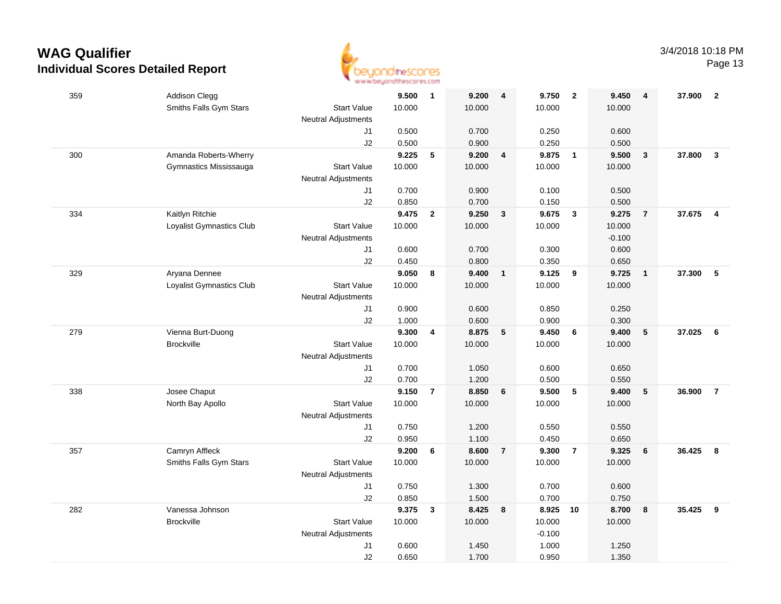

|     |                          | <b>THE THE THE NAME OF GROOM</b> |        |                         |        |                         |          |                         |          |                |        |                         |
|-----|--------------------------|----------------------------------|--------|-------------------------|--------|-------------------------|----------|-------------------------|----------|----------------|--------|-------------------------|
| 359 | Addison Clegg            |                                  | 9.500  | $\overline{\mathbf{1}}$ | 9.200  | $\overline{4}$          | 9.750    | $\overline{\mathbf{2}}$ | 9.450    | 4              | 37.900 | $\overline{\mathbf{2}}$ |
|     | Smiths Falls Gym Stars   | <b>Start Value</b>               | 10.000 |                         | 10.000 |                         | 10.000   |                         | 10.000   |                |        |                         |
|     |                          | <b>Neutral Adjustments</b>       |        |                         |        |                         |          |                         |          |                |        |                         |
|     |                          | J1                               | 0.500  |                         | 0.700  |                         | 0.250    |                         | 0.600    |                |        |                         |
|     |                          | J2                               | 0.500  |                         | 0.900  |                         | 0.250    |                         | 0.500    |                |        |                         |
| 300 | Amanda Roberts-Wherry    |                                  | 9.225  | ${\bf 5}$               | 9.200  | $\overline{4}$          | 9.875    | $\overline{1}$          | 9.500    | $\mathbf{3}$   | 37.800 | $\mathbf{3}$            |
|     | Gymnastics Mississauga   | <b>Start Value</b>               | 10.000 |                         | 10.000 |                         | 10.000   |                         | 10.000   |                |        |                         |
|     |                          | <b>Neutral Adjustments</b>       |        |                         |        |                         |          |                         |          |                |        |                         |
|     |                          | J1                               | 0.700  |                         | 0.900  |                         | 0.100    |                         | 0.500    |                |        |                         |
|     |                          | J2                               | 0.850  |                         | 0.700  |                         | 0.150    |                         | 0.500    |                |        |                         |
| 334 | Kaitlyn Ritchie          |                                  | 9.475  | $\mathbf{2}$            | 9.250  | $\overline{\mathbf{3}}$ | 9.675    | $\mathbf{3}$            | 9.275    | $\overline{7}$ | 37.675 | $\overline{4}$          |
|     | Loyalist Gymnastics Club | <b>Start Value</b>               | 10.000 |                         | 10.000 |                         | 10.000   |                         | 10.000   |                |        |                         |
|     |                          | <b>Neutral Adjustments</b>       |        |                         |        |                         |          |                         | $-0.100$ |                |        |                         |
|     |                          | J1                               | 0.600  |                         | 0.700  |                         | 0.300    |                         | 0.600    |                |        |                         |
|     |                          | J2                               | 0.450  |                         | 0.800  |                         | 0.350    |                         | 0.650    |                |        |                         |
| 329 | Aryana Dennee            |                                  | 9.050  | 8                       | 9.400  | $\overline{1}$          | 9.125    | 9                       | 9.725    | $\mathbf{1}$   | 37.300 | -5                      |
|     | Loyalist Gymnastics Club | <b>Start Value</b>               | 10.000 |                         | 10.000 |                         | 10.000   |                         | 10.000   |                |        |                         |
|     |                          | <b>Neutral Adjustments</b>       |        |                         |        |                         |          |                         |          |                |        |                         |
|     |                          | J1                               | 0.900  |                         | 0.600  |                         | 0.850    |                         | 0.250    |                |        |                         |
|     |                          | J2                               | 1.000  |                         | 0.600  |                         | 0.900    |                         | 0.300    |                |        |                         |
| 279 | Vienna Burt-Duong        |                                  | 9.300  | $\overline{\mathbf{4}}$ | 8.875  | $-5$                    | 9.450    | 6                       | 9.400    | $\sqrt{5}$     | 37.025 | 6                       |
|     | <b>Brockville</b>        | <b>Start Value</b>               | 10.000 |                         | 10.000 |                         | 10.000   |                         | 10.000   |                |        |                         |
|     |                          | <b>Neutral Adjustments</b>       |        |                         |        |                         |          |                         |          |                |        |                         |
|     |                          | J1                               | 0.700  |                         | 1.050  |                         | 0.600    |                         | 0.650    |                |        |                         |
|     |                          | J2                               | 0.700  |                         | 1.200  |                         | 0.500    |                         | 0.550    |                |        |                         |
| 338 | Josee Chaput             | <b>Start Value</b>               | 9.150  | $\overline{7}$          | 8.850  | 6                       | 9.500    | 5                       | 9.400    | $\sqrt{5}$     | 36.900 | $\overline{7}$          |
|     | North Bay Apollo         |                                  | 10.000 |                         | 10.000 |                         | 10.000   |                         | 10.000   |                |        |                         |
|     |                          | <b>Neutral Adjustments</b><br>J1 | 0.750  |                         | 1.200  |                         | 0.550    |                         | 0.550    |                |        |                         |
|     |                          | J2                               | 0.950  |                         | 1.100  |                         | 0.450    |                         | 0.650    |                |        |                         |
| 357 | Camryn Affleck           |                                  | 9.200  | 6                       | 8.600  | $\overline{7}$          | 9.300    | $\overline{7}$          | 9.325    | 6              | 36.425 | 8                       |
|     | Smiths Falls Gym Stars   | <b>Start Value</b>               | 10.000 |                         | 10.000 |                         | 10.000   |                         | 10.000   |                |        |                         |
|     |                          | <b>Neutral Adjustments</b>       |        |                         |        |                         |          |                         |          |                |        |                         |
|     |                          | J1                               | 0.750  |                         | 1.300  |                         | 0.700    |                         | 0.600    |                |        |                         |
|     |                          | J2                               | 0.850  |                         | 1.500  |                         | 0.700    |                         | 0.750    |                |        |                         |
| 282 | Vanessa Johnson          |                                  | 9.375  | $\mathbf{3}$            | 8.425  | 8                       | 8.925    | 10                      | 8.700    | 8              | 35.425 | 9                       |
|     | <b>Brockville</b>        | <b>Start Value</b>               | 10.000 |                         | 10.000 |                         | 10.000   |                         | 10.000   |                |        |                         |
|     |                          | <b>Neutral Adjustments</b>       |        |                         |        |                         | $-0.100$ |                         |          |                |        |                         |
|     |                          | J1                               | 0.600  |                         | 1.450  |                         | 1.000    |                         | 1.250    |                |        |                         |
|     |                          | J2                               | 0.650  |                         | 1.700  |                         | 0.950    |                         | 1.350    |                |        |                         |
|     |                          |                                  |        |                         |        |                         |          |                         |          |                |        |                         |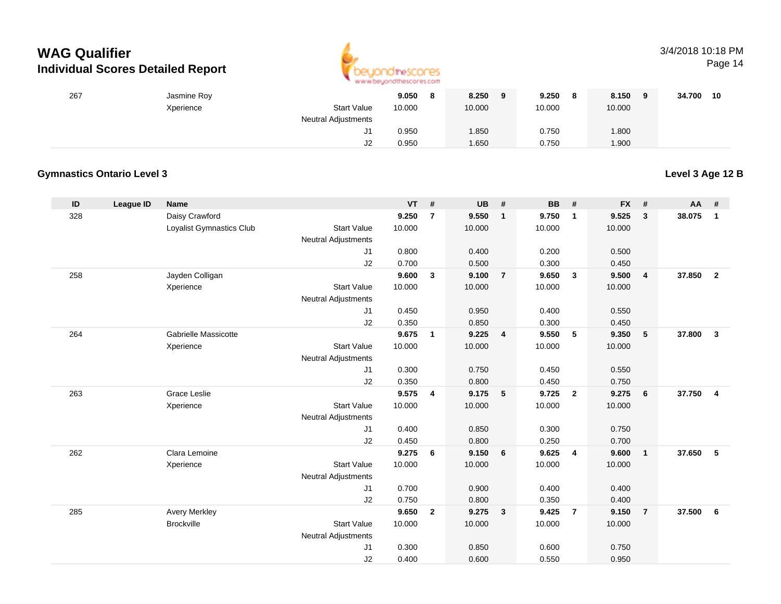

# 3/4/2018 10:18 PM

Page 14

| 267 | Jasmine Roy |                            | 9.050<br>ö | 8.250<br>9 | 9.250  | 8.150<br>- 9 | 34.700<br>10 |
|-----|-------------|----------------------------|------------|------------|--------|--------------|--------------|
|     | Xperience   | <b>Start Value</b>         | 10.000     | 10.000     | 10.000 | 10.000       |              |
|     |             | <b>Neutral Adjustments</b> |            |            |        |              |              |
|     |             | ا ب                        | 0.950      | 1.850      | 0.750  | 1.800        |              |
|     |             | J2                         | 0.950      | 1.650      | 0.750  | 1.900        |              |

#### **Gymnastics Ontario Level 3**

**Level 3 Age 12 B**

| ID  | <b>League ID</b> | <b>Name</b>              |                            | <b>VT</b> | #              | <b>UB</b> | #                       | <b>BB</b> | #                       | <b>FX</b> | #              | <b>AA</b> | #              |
|-----|------------------|--------------------------|----------------------------|-----------|----------------|-----------|-------------------------|-----------|-------------------------|-----------|----------------|-----------|----------------|
| 328 |                  | Daisy Crawford           |                            | 9.250     | $\overline{7}$ | 9.550     | $\overline{1}$          | 9.750     | $\overline{\mathbf{1}}$ | 9.525     | $\mathbf{3}$   | 38.075    | $\mathbf{1}$   |
|     |                  | Loyalist Gymnastics Club | <b>Start Value</b>         | 10.000    |                | 10.000    |                         | 10.000    |                         | 10.000    |                |           |                |
|     |                  |                          | <b>Neutral Adjustments</b> |           |                |           |                         |           |                         |           |                |           |                |
|     |                  |                          | J1                         | 0.800     |                | 0.400     |                         | 0.200     |                         | 0.500     |                |           |                |
|     |                  |                          | J2                         | 0.700     |                | 0.500     |                         | 0.300     |                         | 0.450     |                |           |                |
| 258 |                  | Jayden Colligan          |                            | 9.600     | 3              | 9.100     | $\overline{7}$          | 9.650     | $\overline{\mathbf{3}}$ | 9.500     | $\overline{4}$ | 37.850    | $\overline{2}$ |
|     |                  | Xperience                | <b>Start Value</b>         | 10.000    |                | 10.000    |                         | 10.000    |                         | 10.000    |                |           |                |
|     |                  |                          | <b>Neutral Adjustments</b> |           |                |           |                         |           |                         |           |                |           |                |
|     |                  |                          | J1                         | 0.450     |                | 0.950     |                         | 0.400     |                         | 0.550     |                |           |                |
|     |                  |                          | J2                         | 0.350     |                | 0.850     |                         | 0.300     |                         | 0.450     |                |           |                |
| 264 |                  | Gabrielle Massicotte     |                            | 9.675     | $\overline{1}$ | 9.225     | $\overline{4}$          | 9.550     | 5                       | 9.350     | 5              | 37.800    | $\mathbf{3}$   |
|     |                  | Xperience                | <b>Start Value</b>         | 10.000    |                | 10.000    |                         | 10.000    |                         | 10.000    |                |           |                |
|     |                  |                          | <b>Neutral Adjustments</b> |           |                |           |                         |           |                         |           |                |           |                |
|     |                  |                          | J1                         | 0.300     |                | 0.750     |                         | 0.450     |                         | 0.550     |                |           |                |
|     |                  |                          | J2                         | 0.350     |                | 0.800     |                         | 0.450     |                         | 0.750     |                |           |                |
| 263 |                  | <b>Grace Leslie</b>      |                            | 9.575     | 4              | 9.175     | $-5$                    | 9.725     | $\overline{2}$          | 9.275     | 6              | 37.750    | $\overline{4}$ |
|     |                  | Xperience                | <b>Start Value</b>         | 10.000    |                | 10.000    |                         | 10.000    |                         | 10.000    |                |           |                |
|     |                  |                          | Neutral Adjustments        |           |                |           |                         |           |                         |           |                |           |                |
|     |                  |                          | J1                         | 0.400     |                | 0.850     |                         | 0.300     |                         | 0.750     |                |           |                |
|     |                  |                          | J2                         | 0.450     |                | 0.800     |                         | 0.250     |                         | 0.700     |                |           |                |
| 262 |                  | Clara Lemoine            |                            | 9.275     | 6              | 9.150     | 6                       | 9.625     | $\overline{4}$          | 9.600     | $\overline{1}$ | 37.650    | 5              |
|     |                  | Xperience                | <b>Start Value</b>         | 10.000    |                | 10.000    |                         | 10.000    |                         | 10.000    |                |           |                |
|     |                  |                          | <b>Neutral Adjustments</b> |           |                |           |                         |           |                         |           |                |           |                |
|     |                  |                          | J1                         | 0.700     |                | 0.900     |                         | 0.400     |                         | 0.400     |                |           |                |
|     |                  |                          | J2                         | 0.750     |                | 0.800     |                         | 0.350     |                         | 0.400     |                |           |                |
| 285 |                  | <b>Avery Merkley</b>     |                            | 9.650     | $\overline{2}$ | 9.275     | $\overline{\mathbf{3}}$ | 9.425     | $\overline{7}$          | 9.150     | $\overline{7}$ | 37.500    | - 6            |
|     |                  | <b>Brockville</b>        | <b>Start Value</b>         | 10.000    |                | 10.000    |                         | 10.000    |                         | 10.000    |                |           |                |
|     |                  |                          | <b>Neutral Adjustments</b> |           |                |           |                         |           |                         |           |                |           |                |
|     |                  |                          | J1                         | 0.300     |                | 0.850     |                         | 0.600     |                         | 0.750     |                |           |                |
|     |                  |                          | J2                         | 0.400     |                | 0.600     |                         | 0.550     |                         | 0.950     |                |           |                |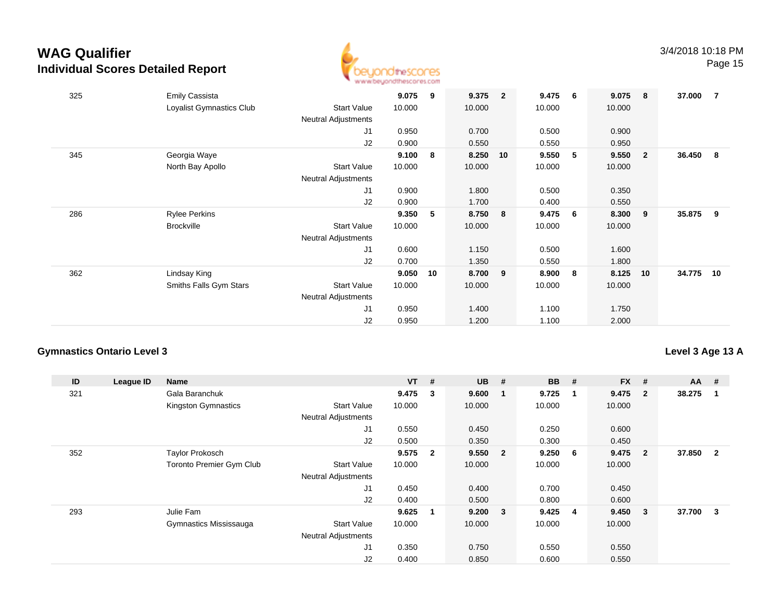| <b>WAG Qualifier</b>                     |
|------------------------------------------|
| <b>Individual Scores Detailed Report</b> |



| 325 | <b>Emily Cassista</b>    |                            | 9.075  | 9  | 9.375  | $\overline{\mathbf{2}}$ | 9.475  | - 6 | 9.075  | - 8                     | 37.000 | -7  |
|-----|--------------------------|----------------------------|--------|----|--------|-------------------------|--------|-----|--------|-------------------------|--------|-----|
|     | Loyalist Gymnastics Club | <b>Start Value</b>         | 10.000 |    | 10.000 |                         | 10.000 |     | 10.000 |                         |        |     |
|     |                          | <b>Neutral Adjustments</b> |        |    |        |                         |        |     |        |                         |        |     |
|     |                          | J1                         | 0.950  |    | 0.700  |                         | 0.500  |     | 0.900  |                         |        |     |
|     |                          | J2                         | 0.900  |    | 0.550  |                         | 0.550  |     | 0.950  |                         |        |     |
| 345 | Georgia Waye             |                            | 9.100  | 8  | 8.250  | 10                      | 9.550  | 5   | 9.550  | $\overline{\mathbf{2}}$ | 36.450 | - 8 |
|     | North Bay Apollo         | <b>Start Value</b>         | 10.000 |    | 10.000 |                         | 10.000 |     | 10.000 |                         |        |     |
|     |                          | <b>Neutral Adjustments</b> |        |    |        |                         |        |     |        |                         |        |     |
|     |                          | J <sub>1</sub>             | 0.900  |    | 1.800  |                         | 0.500  |     | 0.350  |                         |        |     |
|     |                          | J <sub>2</sub>             | 0.900  |    | 1.700  |                         | 0.400  |     | 0.550  |                         |        |     |
| 286 | <b>Rylee Perkins</b>     |                            | 9.350  | 5  | 8.750  | $_{\rm 8}$              | 9.475  | - 6 | 8.300  | - 9                     | 35.875 | 9   |
|     | <b>Brockville</b>        | <b>Start Value</b>         | 10.000 |    | 10.000 |                         | 10.000 |     | 10.000 |                         |        |     |
|     |                          | <b>Neutral Adjustments</b> |        |    |        |                         |        |     |        |                         |        |     |
|     |                          | J <sub>1</sub>             | 0.600  |    | 1.150  |                         | 0.500  |     | 1.600  |                         |        |     |
|     |                          | J2                         | 0.700  |    | 1.350  |                         | 0.550  |     | 1.800  |                         |        |     |
| 362 | Lindsay King             |                            | 9.050  | 10 | 8.700  | - 9                     | 8.900  | - 8 | 8.125  | 10                      | 34.775 | 10  |
|     | Smiths Falls Gym Stars   | <b>Start Value</b>         | 10.000 |    | 10.000 |                         | 10.000 |     | 10.000 |                         |        |     |
|     |                          | <b>Neutral Adjustments</b> |        |    |        |                         |        |     |        |                         |        |     |
|     |                          | J <sub>1</sub>             | 0.950  |    | 1.400  |                         | 1.100  |     | 1.750  |                         |        |     |
|     |                          | J <sub>2</sub>             | 0.950  |    | 1.200  |                         | 1.100  |     | 2.000  |                         |        |     |
|     |                          |                            |        |    |        |                         |        |     |        |                         |        |     |

#### **Gymnastics Ontario Level 3**

#### **Level 3 Age 13 A**

| ID  | League ID | Name                     |                            | $VT$ #  |                         | <b>UB</b>    | #                       | <b>BB</b> | #           | <b>FX</b> | #              | $AA$ # |                |
|-----|-----------|--------------------------|----------------------------|---------|-------------------------|--------------|-------------------------|-----------|-------------|-----------|----------------|--------|----------------|
| 321 |           | Gala Baranchuk           |                            | 9.475   | $\overline{\mathbf{3}}$ | 9.600        | - 1                     | 9.725     | $\mathbf 1$ | 9.475     | $\mathbf{2}$   | 38.275 |                |
|     |           | Kingston Gymnastics      | <b>Start Value</b>         | 10.000  |                         | 10.000       |                         | 10.000    |             | 10.000    |                |        |                |
|     |           |                          | <b>Neutral Adjustments</b> |         |                         |              |                         |           |             |           |                |        |                |
|     |           |                          | J1                         | 0.550   |                         | 0.450        |                         | 0.250     |             | 0.600     |                |        |                |
|     |           |                          | J2                         | 0.500   |                         | 0.350        |                         | 0.300     |             | 0.450     |                |        |                |
| 352 |           | <b>Taylor Prokosch</b>   |                            | 9.575 2 |                         | 9.550        | $\overline{\mathbf{2}}$ | 9.250     | - 6         | 9.475     | $\overline{2}$ | 37.850 | $\overline{2}$ |
|     |           | Toronto Premier Gym Club | <b>Start Value</b>         | 10.000  |                         | 10.000       |                         | 10.000    |             | 10.000    |                |        |                |
|     |           |                          | <b>Neutral Adjustments</b> |         |                         |              |                         |           |             |           |                |        |                |
|     |           |                          | J1                         | 0.450   |                         | 0.400        |                         | 0.700     |             | 0.450     |                |        |                |
|     |           |                          | J2                         | 0.400   |                         | 0.500        |                         | 0.800     |             | 0.600     |                |        |                |
| 293 |           | Julie Fam                |                            | 9.625   | 1                       | $9.200 \t 3$ |                         | 9.425     | -4          | 9.450     | $\mathbf{3}$   | 37.700 | -3             |
|     |           | Gymnastics Mississauga   | <b>Start Value</b>         | 10.000  |                         | 10.000       |                         | 10.000    |             | 10.000    |                |        |                |
|     |           |                          | <b>Neutral Adjustments</b> |         |                         |              |                         |           |             |           |                |        |                |
|     |           |                          | J1                         | 0.350   |                         | 0.750        |                         | 0.550     |             | 0.550     |                |        |                |
|     |           |                          | J2                         | 0.400   |                         | 0.850        |                         | 0.600     |             | 0.550     |                |        |                |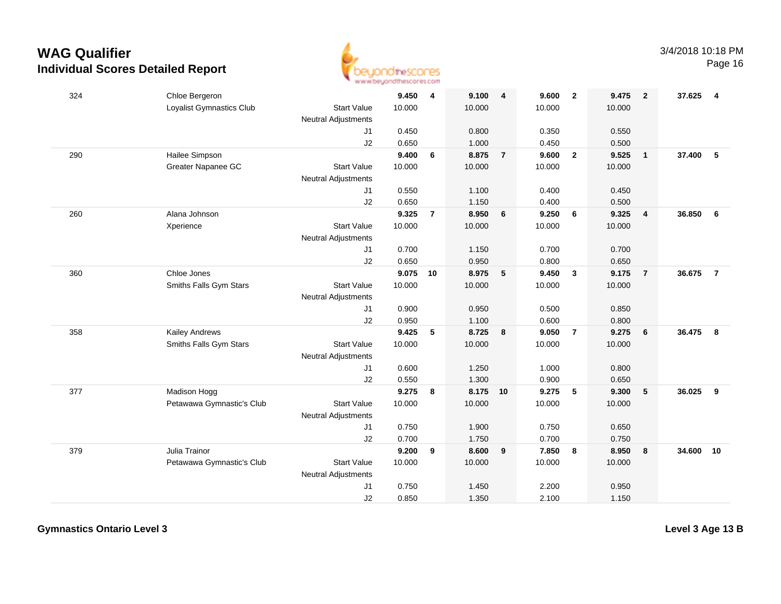

| 324 | Chloe Bergeron            |                            | 9.450          | 4              | 9.100          | $\overline{4}$ | 9.600          | $\overline{2}$ | 9.475          | $\overline{2}$ | 37.625 | -4             |
|-----|---------------------------|----------------------------|----------------|----------------|----------------|----------------|----------------|----------------|----------------|----------------|--------|----------------|
|     | Loyalist Gymnastics Club  | <b>Start Value</b>         | 10.000         |                | 10.000         |                | 10.000         |                | 10.000         |                |        |                |
|     |                           | <b>Neutral Adjustments</b> |                |                |                |                |                |                |                |                |        |                |
|     |                           | J1                         | 0.450          |                | 0.800          |                | 0.350          |                | 0.550          |                |        |                |
|     |                           | J2                         | 0.650          |                | 1.000          |                | 0.450          |                | 0.500          |                |        |                |
| 290 | Hailee Simpson            |                            | 9.400          | 6              | 8.875          | $\overline{7}$ | 9.600          | $\overline{2}$ | 9.525          | $\mathbf{1}$   | 37.400 | $-5$           |
|     | Greater Napanee GC        | <b>Start Value</b>         | 10.000         |                | 10.000         |                | 10.000         |                | 10.000         |                |        |                |
|     |                           | <b>Neutral Adjustments</b> |                |                |                |                |                |                |                |                |        |                |
|     |                           | J1                         | 0.550          |                | 1.100          |                | 0.400          |                | 0.450          |                |        |                |
|     |                           | J2                         | 0.650          |                | 1.150          |                | 0.400          |                | 0.500          |                |        |                |
| 260 | Alana Johnson             |                            | 9.325          | $\overline{7}$ | 8.950          | 6              | 9.250          | 6              | 9.325          | 4              | 36.850 | 6              |
|     | Xperience                 | <b>Start Value</b>         | 10.000         |                | 10.000         |                | 10.000         |                | 10.000         |                |        |                |
|     |                           | <b>Neutral Adjustments</b> |                |                |                |                |                |                |                |                |        |                |
|     |                           | J1                         | 0.700          |                | 1.150          |                | 0.700          |                | 0.700          |                |        |                |
|     |                           | J2                         | 0.650          |                | 0.950          |                | 0.800          |                | 0.650          |                |        |                |
| 360 | Chloe Jones               |                            | 9.075          | 10             | 8.975          | 5              | 9.450          | $\mathbf{3}$   | 9.175          | $\overline{7}$ | 36.675 | $\overline{7}$ |
|     | Smiths Falls Gym Stars    | <b>Start Value</b>         | 10.000         |                | 10.000         |                | 10.000         |                | 10.000         |                |        |                |
|     |                           | <b>Neutral Adjustments</b> |                |                |                |                |                |                |                |                |        |                |
|     |                           | J <sub>1</sub>             | 0.900          |                | 0.950          |                | 0.500          |                | 0.850          |                |        |                |
|     |                           | J2                         | 0.950          |                | 1.100          |                | 0.600          |                | 0.800          |                |        |                |
| 358 | Kailey Andrews            |                            | 9.425          | 5              | 8.725          | 8              | 9.050          | $\overline{7}$ | 9.275          | 6              | 36.475 | 8              |
|     | Smiths Falls Gym Stars    | <b>Start Value</b>         | 10.000         |                | 10.000         |                | 10.000         |                | 10.000         |                |        |                |
|     |                           | <b>Neutral Adjustments</b> |                |                |                |                |                |                |                |                |        |                |
|     |                           | J1                         | 0.600          |                | 1.250          |                | 1.000          |                | 0.800          |                |        |                |
|     |                           | J2                         | 0.550          |                | 1.300          |                | 0.900          |                | 0.650          |                |        |                |
| 377 | <b>Madison Hogg</b>       |                            | 9.275          | 8              | 8.175          | 10             | 9.275          | 5              | 9.300          | $\sqrt{5}$     | 36.025 | 9              |
|     | Petawawa Gymnastic's Club | <b>Start Value</b>         | 10.000         |                | 10.000         |                | 10.000         |                | 10.000         |                |        |                |
|     |                           | <b>Neutral Adjustments</b> |                |                |                |                |                |                |                |                |        |                |
|     |                           | J1                         | 0.750          |                | 1.900          |                | 0.750          |                | 0.650          |                |        |                |
| 379 | Julia Trainor             | J2                         | 0.700<br>9.200 | 9              | 1.750<br>8.600 | 9              | 0.700<br>7.850 | 8              | 0.750<br>8.950 | 8              | 34.600 | 10             |
|     | Petawawa Gymnastic's Club | <b>Start Value</b>         | 10.000         |                | 10.000         |                | 10.000         |                | 10.000         |                |        |                |
|     |                           | <b>Neutral Adjustments</b> |                |                |                |                |                |                |                |                |        |                |
|     |                           | J1                         | 0.750          |                | 1.450          |                | 2.200          |                | 0.950          |                |        |                |
|     |                           | J2                         | 0.850          |                | 1.350          |                | 2.100          |                | 1.150          |                |        |                |
|     |                           |                            |                |                |                |                |                |                |                |                |        |                |

**Gymnastics Ontario Level 3**

**Level 3 Age 13 B**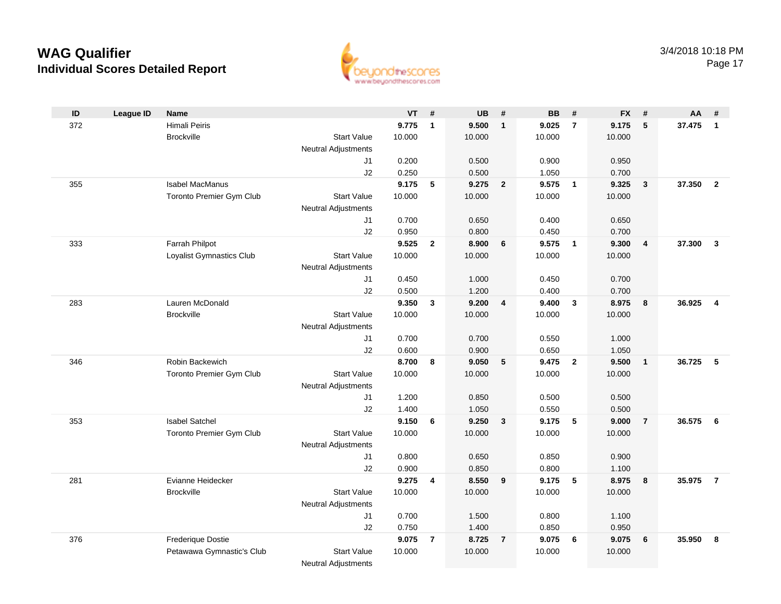

| ID  | <b>League ID</b> | <b>Name</b>               |                            | <b>VT</b> | #              | <b>UB</b> | #              | <b>BB</b> | #                        | <b>FX</b> | #                       | AA     | #                       |
|-----|------------------|---------------------------|----------------------------|-----------|----------------|-----------|----------------|-----------|--------------------------|-----------|-------------------------|--------|-------------------------|
| 372 |                  | Himali Peiris             |                            | 9.775     | $\mathbf{1}$   | 9.500     | $\mathbf{1}$   | 9.025     | $\overline{7}$           | 9.175     | 5                       | 37.475 | $\mathbf{1}$            |
|     |                  | <b>Brockville</b>         | <b>Start Value</b>         | 10.000    |                | 10.000    |                | 10.000    |                          | 10.000    |                         |        |                         |
|     |                  |                           | <b>Neutral Adjustments</b> |           |                |           |                |           |                          |           |                         |        |                         |
|     |                  |                           | J1                         | 0.200     |                | 0.500     |                | 0.900     |                          | 0.950     |                         |        |                         |
|     |                  |                           | J2                         | 0.250     |                | 0.500     |                | 1.050     |                          | 0.700     |                         |        |                         |
| 355 |                  | <b>Isabel MacManus</b>    |                            | 9.175     | 5              | 9.275     | $\overline{2}$ | 9.575     | $\overline{1}$           | 9.325     | $\overline{\mathbf{3}}$ | 37.350 | $\overline{2}$          |
|     |                  | Toronto Premier Gym Club  | <b>Start Value</b>         | 10.000    |                | 10.000    |                | 10.000    |                          | 10.000    |                         |        |                         |
|     |                  |                           | <b>Neutral Adjustments</b> |           |                |           |                |           |                          |           |                         |        |                         |
|     |                  |                           | J1                         | 0.700     |                | 0.650     |                | 0.400     |                          | 0.650     |                         |        |                         |
|     |                  |                           | J2                         | 0.950     |                | 0.800     |                | 0.450     |                          | 0.700     |                         |        |                         |
| 333 |                  | Farrah Philpot            |                            | 9.525     | $\overline{2}$ | 8.900     | 6              | 9.575     | $\overline{1}$           | 9.300     | $\overline{\mathbf{4}}$ | 37.300 | $\overline{\mathbf{3}}$ |
|     |                  | Loyalist Gymnastics Club  | <b>Start Value</b>         | 10.000    |                | 10.000    |                | 10.000    |                          | 10.000    |                         |        |                         |
|     |                  |                           | <b>Neutral Adjustments</b> |           |                |           |                |           |                          |           |                         |        |                         |
|     |                  |                           | J1                         | 0.450     |                | 1.000     |                | 0.450     |                          | 0.700     |                         |        |                         |
|     |                  |                           | J2                         | 0.500     |                | 1.200     |                | 0.400     |                          | 0.700     |                         |        |                         |
| 283 |                  | Lauren McDonald           |                            | 9.350     | 3              | 9.200     | 4              | 9.400     | $\mathbf{3}$             | 8.975     | 8                       | 36.925 | $\overline{4}$          |
|     |                  | <b>Brockville</b>         | <b>Start Value</b>         | 10.000    |                | 10.000    |                | 10.000    |                          | 10.000    |                         |        |                         |
|     |                  |                           | Neutral Adjustments        |           |                |           |                |           |                          |           |                         |        |                         |
|     |                  |                           | J1                         | 0.700     |                | 0.700     |                | 0.550     |                          | 1.000     |                         |        |                         |
|     |                  |                           | J2                         | 0.600     |                | 0.900     |                | 0.650     |                          | 1.050     |                         |        |                         |
| 346 |                  | Robin Backewich           |                            | 8.700     | 8              | 9.050     | 5              | 9.475     | $\overline{\mathbf{2}}$  | 9.500     | $\overline{1}$          | 36.725 | -5                      |
|     |                  | Toronto Premier Gym Club  | <b>Start Value</b>         | 10.000    |                | 10.000    |                | 10.000    |                          | 10.000    |                         |        |                         |
|     |                  |                           | Neutral Adjustments        |           |                |           |                |           |                          |           |                         |        |                         |
|     |                  |                           | J1                         | 1.200     |                | 0.850     |                | 0.500     |                          | 0.500     |                         |        |                         |
|     |                  |                           | J2                         | 1.400     |                | 1.050     |                | 0.550     |                          | 0.500     |                         |        |                         |
| 353 |                  | <b>Isabel Satchel</b>     |                            | 9.150     | 6              | 9.250     | $\mathbf{3}$   | 9.175     | $\overline{\phantom{0}}$ | 9.000     | $\overline{7}$          | 36.575 | 6                       |
|     |                  | Toronto Premier Gym Club  | <b>Start Value</b>         | 10.000    |                | 10.000    |                | 10.000    |                          | 10.000    |                         |        |                         |
|     |                  |                           | Neutral Adjustments        |           |                |           |                |           |                          |           |                         |        |                         |
|     |                  |                           | J1                         | 0.800     |                | 0.650     |                | 0.850     |                          | 0.900     |                         |        |                         |
|     |                  |                           | J2                         | 0.900     |                | 0.850     |                | 0.800     |                          | 1.100     |                         |        |                         |
| 281 |                  | Evianne Heidecker         |                            | 9.275     | $\overline{4}$ | 8.550     | $_{9}$         | 9.175     | $-5$                     | 8.975     | 8                       | 35.975 | $\overline{7}$          |
|     |                  | <b>Brockville</b>         | <b>Start Value</b>         | 10.000    |                | 10.000    |                | 10.000    |                          | 10.000    |                         |        |                         |
|     |                  |                           | <b>Neutral Adjustments</b> |           |                |           |                |           |                          |           |                         |        |                         |
|     |                  |                           | J1                         | 0.700     |                | 1.500     |                | 0.800     |                          | 1.100     |                         |        |                         |
|     |                  |                           | J2                         | 0.750     |                | 1.400     |                | 0.850     |                          | 0.950     |                         |        |                         |
| 376 |                  | Frederique Dostie         |                            | 9.075     | $\overline{7}$ | 8.725     | $\overline{7}$ | 9.075     | - 6                      | 9.075     | 6                       | 35.950 | 8                       |
|     |                  | Petawawa Gymnastic's Club | <b>Start Value</b>         | 10.000    |                | 10.000    |                | 10.000    |                          | 10.000    |                         |        |                         |
|     |                  |                           | <b>Neutral Adjustments</b> |           |                |           |                |           |                          |           |                         |        |                         |